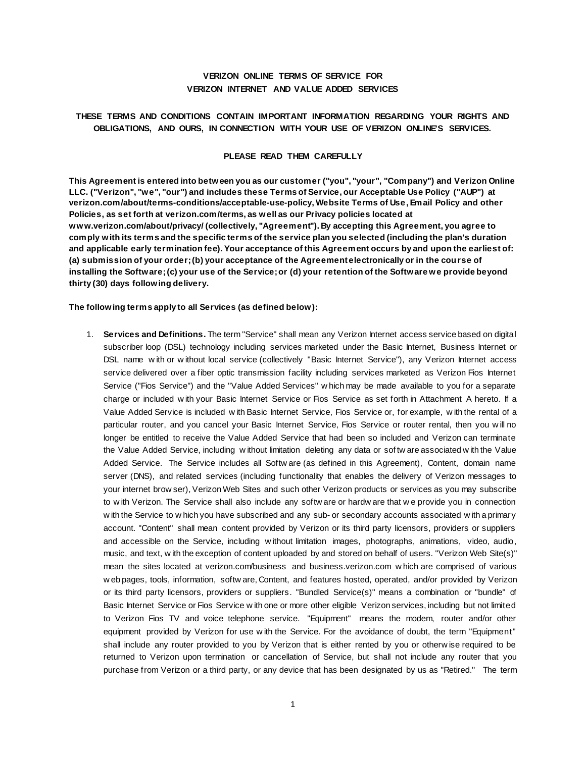# **VERIZON ONLINE TERMS OF SERVICE FOR VERIZON INTERNET AND VALUE ADDED SERVICES**

# **THESE TERMS AND CONDITIONS CONTAIN IMPORTANT INFORMATION REGARDING YOUR RIGHTS AND OBLIGATIONS, AND OURS, IN CONNECTION WITH YOUR USE OF VERIZON ONLINE'S SERVICES.**

### **PLEASE READ THEM CAREFULLY**

**This Agreement is entered into between you as our customer ("you", "your", "Company") and Verizon Online LLC. ("Verizon", "we", "our") and includes these Terms of Service, our Acceptable Use Policy ("AUP") at verizon.com/about/terms-conditions/acceptable-use-polic[y, Website Terms of Use,](http://www.verizon.com/about/terms/) Email Policy and other Policies, as set forth a[t verizon.com/terms](http://www.verizon.com/about/terms/), as well as our Privacy policies located at [www.verizon.com/about/privacy/](http://www.verizon.com/about/privacy/) (collectively, "Agreement"). By accepting this Agreement, you agree to comply with its terms and the specific terms of the service plan you selected (including the plan's duration and applicable early termination fee). Your acceptance of this Agreement occurs by and upon the earliest of: (a) submission of your order; (b) your acceptance of the Agreement electronically or in the course of installing the Software; (c) your use of the Service; or (d) your retention of the Software we provide beyond thirty (30) days following delivery.**

### **The following terms apply to all Services (as defined below):**

1. **Services and Definitions.** The term "Service" shall mean any Verizon Internet access service based on digital subscriber loop (DSL) technology including services marketed under the Basic Internet, Business Internet or DSL name w ith or w ithout local service (collectively "Basic Internet Service"), any Verizon Internet access service delivered over a fiber optic transmission facility including services marketed as Verizon Fios Internet Service ("Fios Service") and the "Value Added Services" w hich may be made available to you for a separate charge or included w ith your Basic Internet Service or Fios Service as set forth in Attachment A hereto. If a Value Added Service is included w ith Basic Internet Service, Fios Service or, for example, w ith the rental of a particular router, and you cancel your Basic Internet Service, Fios Service or router rental, then you w ill no longer be entitled to receive the Value Added Service that had been so included and Verizon can terminate the Value Added Service, including w ithout limitation deleting any data or sof tw are associated w ith the Value Added Service. The Service includes all Softw are (as defined in this Agreement), Content, domain name server (DNS), and related services (including functionality that enables the delivery of Verizon messages to your internet brow ser), Verizon Web Sites and such other Verizon products or services as you may subscribe to w ith Verizon. The Service shall also include any softw are or hardw are that w e provide you in connection w ith the Service to w hich you have subscribed and any sub- or secondary accounts associated w ith a primary account. "Content" shall mean content provided by Verizon or its third party licensors, providers or suppliers and accessible on the Service, including w ithout limitation images, photographs, animations, video, audio, music, and text, w ith the exception of content uploaded by and stored on behalf of users. "Verizon Web Site(s)" mean the sites located at [verizon.com/business](http://www.verizon.com/smallbusiness) and [business.verizon.com](http://business.verizon.com/) w hich are comprised of various w eb pages, tools, information, softw are, Content, and features hosted, operated, and/or provided by Verizon or its third party licensors, providers or suppliers. "Bundled Service(s)" means a combination or "bundle" of Basic Internet Service or Fios Service w ith one or more other eligible Verizon services, including but not limited to Verizon Fios TV and voice telephone service. "Equipment" means the modem, router and/or other equipment provided by Verizon for use w ith the Service. For the avoidance of doubt, the term "Equipment" shall include any router provided to you by Verizon that is either rented by you or otherw ise required to be returned to Verizon upon termination or cancellation of Service, but shall not include any router that you purchase from Verizon or a third party, or any device that has been designated by us as "Retired." The term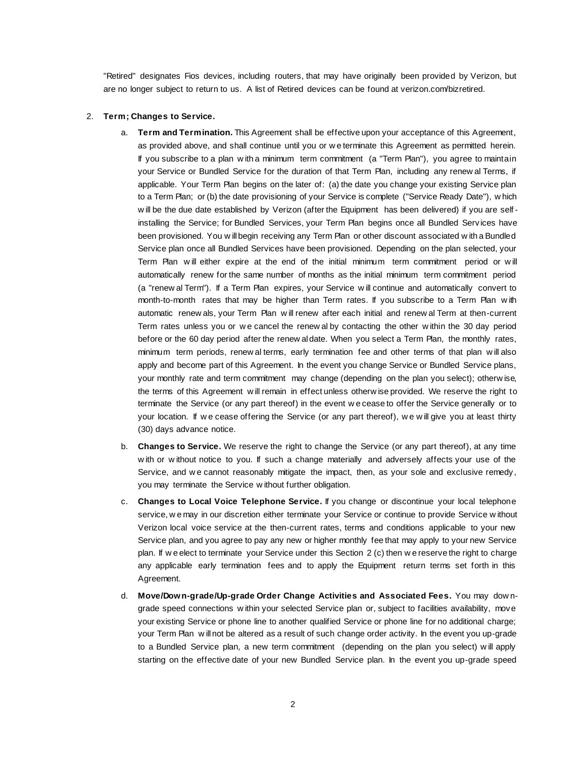"Retired" designates Fios devices, including routers, that may have originally been provided by Verizon, but are no longer subject to return to us. A list of Retired devices can be found at verizon.com/bizretired.

### 2. **Term; Changes to Service.**

- a. **Term and Termination.** This Agreement shall be effective upon your acceptance of this Agreement, as provided above, and shall continue until you or w e terminate this Agreement as permitted herein. If you subscribe to a plan w ith a minimum term commitment (a "Term Plan"), you agree to maintain your Service or Bundled Service for the duration of that Term Plan, including any renew al Terms, if applicable. Your Term Plan begins on the later of: (a) the date you change your existing Service plan to a Term Plan; or (b) the date provisioning of your Service is complete ("Service Ready Date"), w hich w ill be the due date established by Verizon (after the Equipment has been delivered) if you are self installing the Service; for Bundled Services, your Term Plan begins once all Bundled Serv ices have been provisioned. You w ill begin receiving any Term Plan or other discount associated w ith a Bundled Service plan once all Bundled Services have been provisioned. Depending on the plan selected, your Term Plan w ill either expire at the end of the initial minimum term commitment period or w ill automatically renew for the same number of months as the initial minimum term commitment period (a "renew al Term"). If a Term Plan expires, your Service w ill continue and automatically convert to month-to-month rates that may be higher than Term rates. If you subscribe to a Term Plan w ith automatic renew als, your Term Plan w ill renew after each initial and renew al Term at then-current Term rates unless you or w e cancel the renew al by contacting the other w ithin the 30 day period before or the 60 day period after the renew al date. When you select a Term Plan, the monthly rates, minimum term periods, renew al terms, early termination fee and other terms of that plan w ill also apply and become part of this Agreement. In the event you change Service or Bundled Service plans, your monthly rate and term commitment may change (depending on the plan you select); otherw ise, the terms of this Agreement w ill remain in effect unless otherw ise provided. We reserve the right to terminate the Service (or any part thereof) in the event w e cease to offer the Service generally or to your location. If w e cease offering the Service (or any part thereof), w e w ill give you at least thirty (30) days advance notice.
- b. **Changes to Service.** We reserve the right to change the Service (or any part thereof), at any time w ith or w ithout notice to you. If such a change materially and adversely affects your use of the Service, and we cannot reasonably mitigate the impact, then, as your sole and exclusive remedy, you may terminate the Service w ithout further obligation.
- c. **Changes to Local Voice Telephone Service.** If you change or discontinue your local telephone service, w e may in our discretion either terminate your Service or continue to provide Service w ithout Verizon local voice service at the then-current rates, terms and conditions applicable to your new Service plan, and you agree to pay any new or higher monthly fee that may apply to your new Service plan. If w e elect to terminate your Service under this Section 2 (c) then w e reserve the right to charge any applicable early termination fees and to apply the Equipment return terms set forth in this Agreement.
- d. **Move/Down-grade/Up-grade Order Change Activities and Associated Fees.** You may dow ngrade speed connections w ithin your selected Service plan or, subject to facilities availability, move your existing Service or phone line to another qualified Service or phone line for no additional charge; your Term Plan w ill not be altered as a result of such change order activity. In the event you up-grade to a Bundled Service plan, a new term commitment (depending on the plan you select) w ill apply starting on the effective date of your new Bundled Service plan. In the event you up-grade speed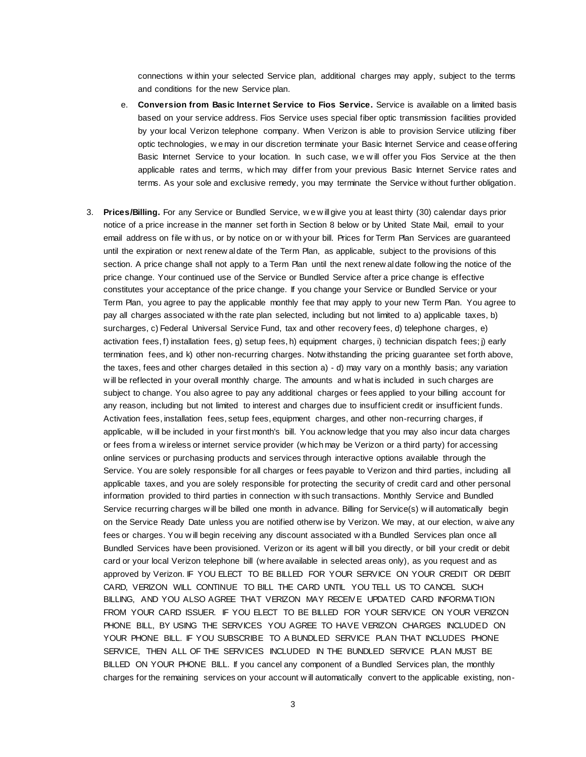connections w ithin your selected Service plan, additional charges may apply, subject to the terms and conditions for the new Service plan.

- e. **Conversion from Basic Internet Service to Fios Service.** Service is available on a limited basis based on your service address. Fios Service uses special fiber optic transmission facilities provided by your local Verizon telephone company. When Verizon is able to provision Service utilizing fiber optic technologies, w e may in our discretion terminate your Basic Internet Service and cease offering Basic Internet Service to your location. In such case, w e w ill offer you Fios Service at the then applicable rates and terms, w hich may differ from your previous Basic Internet Service rates and terms. As your sole and exclusive remedy, you may terminate the Service w ithout further obligation.
- 3. **Prices/Billing.** For any Service or Bundled Service, w e w ill give you at least thirty (30) calendar days prior notice of a price increase in the manner set forth in Section 8 below or by United State Mail, email to your email address on file w ith us, or by notice on or w ith your bill. Prices for Term Plan Services are guaranteed until the expiration or next renew al date of the Term Plan, as applicable, subject to the provisions of this section. A price change shall not apply to a Term Plan until the next renew aldate follow ing the notice of the price change. Your continued use of the Service or Bundled Service after a price change is effective constitutes your acceptance of the price change. If you change your Service or Bundled Service or your Term Plan, you agree to pay the applicable monthly fee that may apply to your new Term Plan. You agree to pay all charges associated w ith the rate plan selected, including but not limited to a) applicable taxes, b) surcharges, c) Federal Universal Service Fund, tax and other recovery fees, d) telephone charges, e) activation fees, f) installation fees, g) setup fees, h) equipment charges, i) technician dispatch fees; j) early termination fees, and k) other non-recurring charges. Notw ithstanding the pricing guarantee set forth above, the taxes, fees and other charges detailed in this section a) - d) may vary on a monthly basis; any variation w ill be reflected in your overall monthly charge. The amounts and w hat is included in such charges are subject to change. You also agree to pay any additional charges or fees applied to your billing account for any reason, including but not limited to interest and charges due to insufficient credit or insufficient funds. Activation fees, installation fees, setup fees, equipment charges, and other non-recurring charges, if applicable, w ill be included in your first month's bill. You acknow ledge that you may also incur data charges or fees from a w ireless or internet service provider (w hich may be Verizon or a third party) for accessing online services or purchasing products and services through interactive options available through the Service. You are solely responsible for all charges or fees payable to Verizon and third parties, including all applicable taxes, and you are solely responsible for protecting the security of credit card and other personal information provided to third parties in connection w ith such transactions. Monthly Service and Bundled Service recurring charges w ill be billed one month in advance. Billing for Service(s) w ill automatically begin on the Service Ready Date unless you are notified otherw ise by Verizon. We may, at our election, w aive any fees or charges. You w ill begin receiving any discount associated w ith a Bundled Services plan once all Bundled Services have been provisioned. Verizon or its agent w ill bill you directly, or bill your credit or debit card or your local Verizon telephone bill (w here available in selected areas only), as you request and as approved by Verizon. IF YOU ELECT TO BE BILLED FOR YOUR SERVICE ON YOUR CREDIT OR DEBIT CARD, VERIZON WILL CONTINUE TO BILL THE CARD UNTIL YOU TELL US TO CANCEL SUCH BILLING, AND YOU ALSO AGREE THAT VERIZON MAY RECEIVE UPDATED CARD INFORMATION FROM YOUR CARD ISSUER. IF YOU ELECT TO BE BILLED FOR YOUR SERVICE ON YOUR VERIZON PHONE BILL, BY USING THE SERVICES YOU AGREE TO HAVE VERIZON CHARGES INCLUDED ON YOUR PHONE BILL. IF YOU SUBSCRIBE TO A BUNDLED SERVICE PLAN THAT INCLUDES PHONE SERVICE, THEN ALL OF THE SERVICES INCLUDED IN THE BUNDLED SERVICE PLAN MUST BE BILLED ON YOUR PHONE BILL. If you cancel any component of a Bundled Services plan, the monthly charges for the remaining services on your account w ill automatically convert to the applicable existing, non-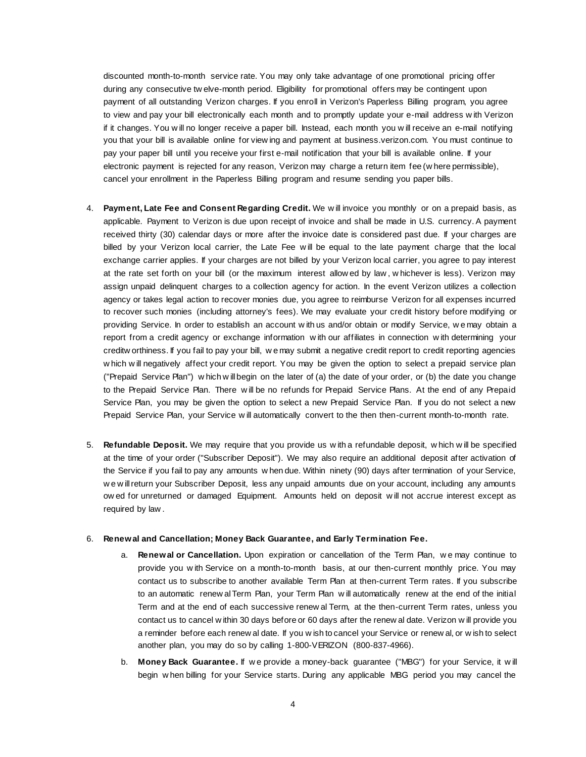discounted month-to-month service rate. You may only take advantage of one promotional pricing offer during any consecutive tw elve-month period. Eligibility for promotional offers may be contingent upon payment of all outstanding Verizon charges. If you enroll in Verizon's Paperless Billing program, you agree to view and pay your bill electronically each month and to promptly update your e-mail address w ith Verizon if it changes. You w ill no longer receive a paper bill. Instead, each month you w ill receive an e-mail notifying you that your bill is available online for view ing and payment at business.verizon.com. You must continue to pay your paper bill until you receive your first e-mail notification that your bill is available online. If your electronic payment is rejected for any reason, Verizon may charge a return item fee (w here permissible), cancel your enrollment in the Paperless Billing program and resume sending you paper bills.

- 4. **Payment, Late Fee and Consent Regarding Credit.** We w ill invoice you monthly or on a prepaid basis, as applicable. Payment to Verizon is due upon receipt of invoice and shall be made in U.S. currency. A payment received thirty (30) calendar days or more after the invoice date is considered past due. If your charges are billed by your Verizon local carrier, the Late Fee w ill be equal to the late payment charge that the local exchange carrier applies. If your charges are not billed by your Verizon local carrier, you agree to pay interest at the rate set forth on your bill (or the maximum interest allow ed by law , w hichever is less). Verizon may assign unpaid delinquent charges to a collection agency for action. In the event Verizon utilizes a collection agency or takes legal action to recover monies due, you agree to reimburse Verizon for all expenses incurred to recover such monies (including attorney's fees). We may evaluate your credit history before modifying or providing Service. In order to establish an account w ith us and/or obtain or modify Service, w e may obtain a report from a credit agency or exchange information w ith our affiliates in connection w ith determining your creditw orthiness. If you fail to pay your bill, w e may submit a negative credit report to credit reporting agencies w hich w ill negatively affect your credit report. You may be given the option to select a prepaid service plan ("Prepaid Service Plan") w hich w ill begin on the later of (a) the date of your order, or (b) the date you change to the Prepaid Service Plan. There will be no refunds for Prepaid Service Plans. At the end of any Prepaid Service Plan, you may be given the option to select a new Prepaid Service Plan. If you do not select a new Prepaid Service Plan, your Service w ill automatically convert to the then then-current month-to-month rate.
- 5. **Refundable Deposit.** We may require that you provide us w ith a refundable deposit, w hich w ill be specified at the time of your order ("Subscriber Deposit"). We may also require an additional deposit after activation of the Service if you fail to pay any amounts w hen due. Within ninety (90) days after termination of your Service, w e w ill return your Subscriber Deposit, less any unpaid amounts due on your account, including any amounts ow ed for unreturned or damaged Equipment. Amounts held on deposit w ill not accrue interest except as required by law .

#### 6. **Renewal and Cancellation; Money Back Guarantee, and Early Termination Fee.**

- a. **Renewal or Cancellation.** Upon expiration or cancellation of the Term Plan, w e may continue to provide you w ith Service on a month-to-month basis, at our then-current monthly price. You may contact us to subscribe to another available Term Plan at then-current Term rates. If you subscribe to an automatic renew al Term Plan, your Term Plan w ill automatically renew at the end of the initial Term and at the end of each successive renew al Term, at the then-current Term rates, unless you contact us to cancel w ithin 30 days before or 60 days after the renew al date. Verizon w ill provide you a reminder before each renew al date. If you w ish to cancel your Service or renew al, or w ish to select another plan, you may do so by calling 1-800-VERIZON (800-837-4966).
- b. **Money Back Guarantee.** If w e provide a money-back guarantee ("MBG") for your Service, it w ill begin w hen billing for your Service starts. During any applicable MBG period you may cancel the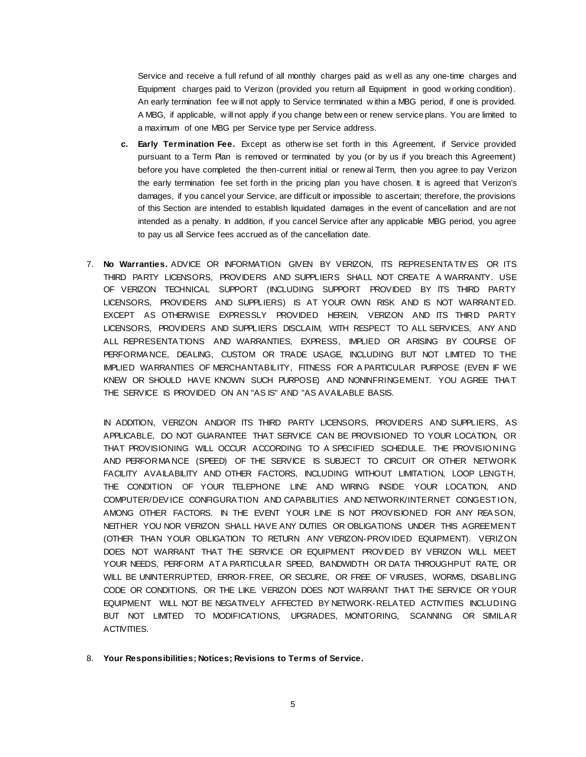Service and receive a full refund of all monthly charges paid as w ell as any one-time charges and Equipment charges paid to Verizon (provided you return all Equipment in good w orking condition). An early termination fee w ill not apply to Service terminated w ithin a MBG period, if one is provided. A MBG, if applicable, w ill not apply if you change betw een or renew service plans. You are limited to a maximum of one MBG per Service type per Service address.

- **c. Early Termination Fee.** Except as otherw ise set forth in this Agreement, if Service provided pursuant to a Term Plan is removed or terminated by you (or by us if you breach this Agreement) before you have completed the then-current initial or renew al Term, then you agree to pay Verizon the early termination fee set forth in the pricing plan you have chosen. It is agreed that Verizon's damages, if you cancel your Service, are difficult or impossible to ascertain; therefore, the provisions of this Section are intended to establish liquidated damages in the event of cancellation and are not intended as a penalty. In addition, if you cancel Service after any applicable MBG period, you agree to pay us all Service fees accrued as of the cancellation date.
- 7. **No Warranties.** ADVICE OR INFORMATION GIVEN BY VERIZON, ITS REPRESENTA TIV ES OR ITS THIRD PARTY LICENSORS, PROVIDERS AND SUPPLIERS SHALL NOT CREATE A WARRANTY. USE OF VERIZON TECHNICAL SUPPORT (INCLUDING SUPPORT PROVIDED BY ITS THIRD PARTY LICENSORS, PROVIDERS AND SUPPLIERS) IS AT YOUR OWN RISK AND IS NOT WARRANTED. EXCEPT AS OTHERWISE EXPRESSLY PROVIDED HEREIN, VERIZON AND ITS THIRD PARTY LICENSORS, PROVIDERS AND SUPPLIERS DISCLAIM, WITH RESPECT TO ALL SERVICES, ANY AND ALL REPRESENTA TIONS AND WARRANTIES, EXPRESS, IMPLIED OR ARISING BY COURSE OF PERFORMA NCE, DEALING, CUSTOM OR TRADE USAGE, INCLUDING BUT NOT LIMITED TO THE IMPLIED WARRANTIES OF MERCHANTABILITY, FITNESS FOR A PARTICULAR PURPOSE (EVEN IF WE KNEW OR SHOULD HAVE KNOWN SUCH PURPOSE) AND NONINFRINGEMENT. YOU AGREE THA T THE SERVICE IS PROVIDED ON AN "AS IS" AND "AS AVAILABLE BASIS.

IN ADDITION, VERIZON AND/OR ITS THIRD PARTY LICENSORS, PROVIDERS AND SUPPLIERS, AS APPLICABLE, DO NOT GUARANTEE THAT SERVICE CAN BE PROVISIONED TO YOUR LOCATION, OR THAT PROVISIONING WILL OCCUR ACCORDING TO A SPECIFIED SCHEDULE. THE PROVISIONING AND PERFORMA NCE (SPEED) OF THE SERVICE IS SUBJECT TO CIRCUIT OR OTHER NETWORK FACILITY AVAILABILITY AND OTHER FACTORS, INCLUDING WITHOUT LIMITATION, LOOP LENGTH, THE CONDITION OF YOUR TELEPHONE LINE AND WIRING INSIDE YOUR LOCATION, AND COMPUTER/DEV ICE CONFIGURA TION AND CAPABILITIES AND NETWORK/INTERNET CONGESTION, AMONG OTHER FACTORS. IN THE EVENT YOUR LINE IS NOT PROVISIONED FOR ANY REA SON, NEITHER YOU NOR VERIZON SHALL HAVE ANY DUTIES OR OBLIGATIONS UNDER THIS AGREEMENT (OTHER THAN YOUR OBLIGATION TO RETURN ANY VERIZON-PROV IDED EQUIPMENT). VERIZON DOES NOT WARRANT THAT THE SERVICE OR EQUIPMENT PROVIDED BY VERIZON WILL MEET YOUR NEEDS, PERFORM AT A PARTICULA R SPEED, BANDWIDTH OR DATA THROUGHPUT RATE, OR WILL BE UNINTERRUPTED, ERROR-FREE, OR SECURE, OR FREE OF VIRUSES, WORMS, DISABLING CODE OR CONDITIONS, OR THE LIKE. VERIZON DOES NOT WARRANT THAT THE SERVICE OR YOUR EQUIPMENT WILL NOT BE NEGATIVELY AFFECTED BY NETWORK-RELATED ACTIVITIES INCLUDING BUT NOT LIMITED TO MODIFICATIONS, UPGRADES, MONITORING, SCANNING OR SIMILAR ACTIVITIES.

8. **Your Responsibilities; Notices; Revisions to Terms of Service.**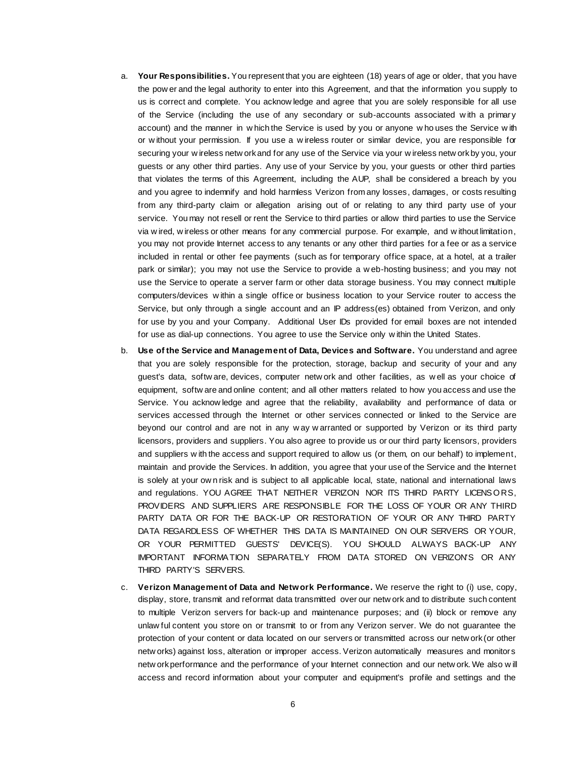- a. **Your Responsibilities.** You represent that you are eighteen (18) years of age or older, that you have the pow er and the legal authority to enter into this Agreement, and that the information you supply to us is correct and complete. You acknow ledge and agree that you are solely responsible for all use of the Service (including the use of any secondary or sub-accounts associated w ith a primary account) and the manner in w hich the Service is used by you or anyone w ho uses the Service w ith or w ithout your permission. If you use a w ireless router or similar device, you are responsible for securing your w ireless netw ork and for any use of the Service via your w ireless netw ork by you, your guests or any other third parties. Any use of your Service by you, your guests or other third parties that violates the terms of this Agreement, including the AUP, shall be considered a breach by you and you agree to indemnify and hold harmless Verizon from any losses, damages, or costs resulting from any third-party claim or allegation arising out of or relating to any third party use of your service. You may not resell or rent the Service to third parties or allow third parties to use the Service via w ired, w ireless or other means for any commercial purpose. For example, and w ithout limitation, you may not provide Internet access to any tenants or any other third parties for a fee or as a service included in rental or other fee payments (such as for temporary office space, at a hotel, at a trailer park or similar); you may not use the Service to provide a w eb-hosting business; and you may not use the Service to operate a server farm or other data storage business. You may connect multiple computers/devices w ithin a single office or business location to your Service router to access the Service, but only through a single account and an IP address(es) obtained from Verizon, and only for use by you and your Company. Additional User IDs provided for email boxes are not intended for use as dial-up connections. You agree to use the Service only w ithin the United States.
- b. **Use of the Service and Management of Data, Devices and Software.** You understand and agree that you are solely responsible for the protection, storage, backup and security of your and any guest's data, softw are, devices, computer netw ork and other facilities, as w ell as your choice of equipment, softw are and online content; and all other matters related to how you access and use the Service. You acknow ledge and agree that the reliability, availability and performance of data or services accessed through the Internet or other services connected or linked to the Service are beyond our control and are not in any w ay w arranted or supported by Verizon or its third party licensors, providers and suppliers. You also agree to provide us or our third party licensors, providers and suppliers w ith the access and support required to allow us (or them, on our behalf) to implement, maintain and provide the Services. In addition, you agree that your use of the Service and the Internet is solely at your ow n risk and is subject to all applicable local, state, national and international laws and regulations. YOU AGREE THAT NEITHER VERIZON NOR ITS THIRD PARTY LICENSORS, PROVIDERS AND SUPPLIERS ARE RESPONSIBLE FOR THE LOSS OF YOUR OR ANY THIRD PARTY DATA OR FOR THE BACK-UP OR RESTORATION OF YOUR OR ANY THIRD PARTY DATA REGARDLESS OF WHETHER THIS DATA IS MAINTAINED ON OUR SERVERS OR YOUR, OR YOUR PERMITTED GUESTS' DEVICE(S). YOU SHOULD ALWAYS BACK-UP ANY IMPORTANT INFORMA TION SEPARATELY FROM DATA STORED ON VERIZON'S OR ANY THIRD PARTY'S SERVERS.
- c. **Verizon Management of Data and Network Performance.** We reserve the right to (i) use, copy, display, store, transmit and reformat data transmitted over our netw ork and to distribute such content to multiple Verizon servers for back-up and maintenance purposes; and (ii) block or remove any unlaw ful content you store on or transmit to or from any Verizon server. We do not guarantee the protection of your content or data located on our servers or transmitted across our netw ork (or other netw orks) against loss, alteration or improper access. Verizon automatically measures and monitors netw ork performance and the performance of your Internet connection and our netw ork. We also w ill access and record information about your computer and equipment's profile and settings and the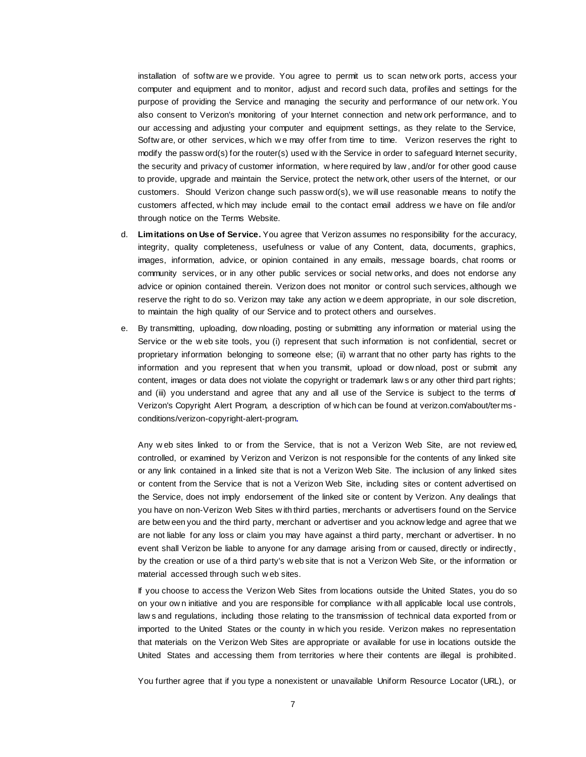installation of softw are w e provide. You agree to permit us to scan netw ork ports, access your computer and equipment and to monitor, adjust and record such data, profiles and settings for the purpose of providing the Service and managing the security and performance of our netw ork. You also consent to Verizon's monitoring of your Internet connection and netw ork performance, and to our accessing and adjusting your computer and equipment settings, as they relate to the Service, Softw are, or other services, w hich w e may offer from time to time. Verizon reserves the right to modify the passw ord(s) for the router(s) used w ith the Service in order to safeguard Internet security, the security and privacy of customer information, w here required by law , and/or for other good cause to provide, upgrade and maintain the Service, protect the netw ork, other users of the Internet, or our customers. Should Verizon change such passw ord(s), we will use reasonable means to notify the customers affected, w hich may include email to the contact email address w e have on file and/or through notice on the Terms Website.

- d. **Limitations on Use of Service.** You agree that Verizon assumes no responsibility for the accuracy, integrity, quality completeness, usefulness or value of any Content, data, documents, graphics, images, information, advice, or opinion contained in any emails, message boards, chat rooms or community services, or in any other public services or social netw orks, and does not endorse any advice or opinion contained therein. Verizon does not monitor or control such services, although we reserve the right to do so. Verizon may take any action w e deem appropriate, in our sole discretion, to maintain the high quality of our Service and to protect others and ourselves.
- e. By transmitting, uploading, dow nloading, posting or submitting any information or material using the Service or the w eb site tools, you (i) represent that such information is not confidential, secret or proprietary information belonging to someone else; (ii) w arrant that no other party has rights to the information and you represent that w hen you transmit, upload or dow nload, post or submit any content, images or data does not violate the copyright or trademark law s or any other third part rights; and (iii) you understand and agree that any and all use of the Service is subject to the terms of Verizon's Copyright Alert Program, a description of w hich can be found at verizon.com/about/terms conditions/verizon-copyright-alert-program.

Any w eb sites linked to or from the Service, that is not a Verizon Web Site, are not review ed, controlled, or examined by Verizon and Verizon is not responsible for the contents of any linked site or any link contained in a linked site that is not a Verizon Web Site. The inclusion of any linked sites or content from the Service that is not a Verizon Web Site, including sites or content advertised on the Service, does not imply endorsement of the linked site or content by Verizon. Any dealings that you have on non-Verizon Web Sites w ith third parties, merchants or advertisers found on the Service are betw een you and the third party, merchant or advertiser and you acknow ledge and agree that we are not liable for any loss or claim you may have against a third party, merchant or advertiser. In no event shall Verizon be liable to anyone for any damage arising from or caused, directly or indirectly, by the creation or use of a third party's w eb site that is not a Verizon Web Site, or the information or material accessed through such w eb sites.

If you choose to access the Verizon Web Sites from locations outside the United States, you do so on your ow n initiative and you are responsible for compliance w ith all applicable local use controls, law s and regulations, including those relating to the transmission of technical data exported from or imported to the United States or the county in w hich you reside. Verizon makes no representation that materials on the Verizon Web Sites are appropriate or available for use in locations outside the United States and accessing them from territories w here their contents are illegal is prohibited.

You further agree that if you type a nonexistent or unavailable Uniform Resource Locator (URL), or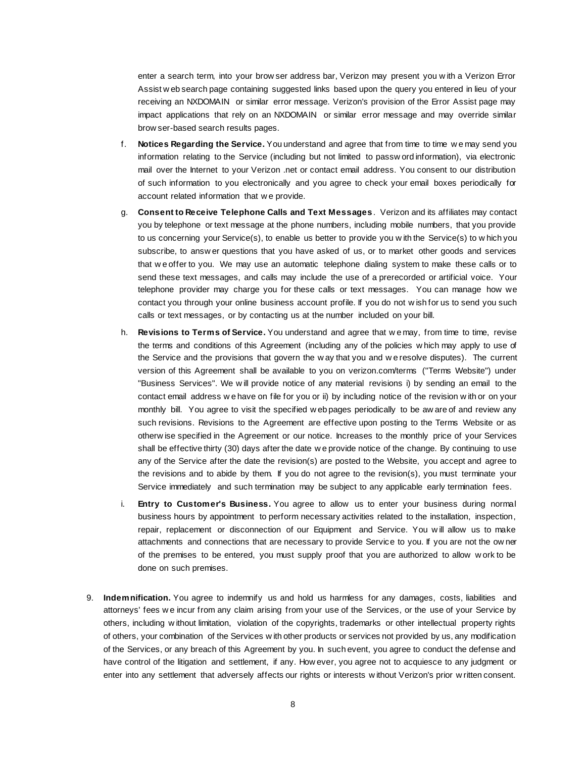enter a search term, into your brow ser address bar, Verizon may present you w ith a Verizon Error Assist w eb search page containing suggested links based upon the query you entered in lieu of your receiving an NXDOMAIN or similar error message. Verizon's provision of the Error Assist page may impact applications that rely on an NXDOMAIN or similar error message and may override similar brow ser-based search results pages.

- f. **Notices Regarding the Service.** You understand and agree that from time to time w e may send you information relating to the Service (including but not limited to passw ord information), via electronic mail over the Internet to your Verizon .net or contact email address. You consent to our distribution of such information to you electronically and you agree to check your email boxes periodically for account related information that w e provide.
- g. **Consent to Receive Telephone Calls and Text Messages**. Verizon and its affiliates may contact you by telephone or text message at the phone numbers, including mobile numbers, that you provide to us concerning your Service(s), to enable us better to provide you w ith the Service(s) to w hich you subscribe, to answ er questions that you have asked of us, or to market other goods and services that w e offer to you. We may use an automatic telephone dialing system to make these calls or to send these text messages, and calls may include the use of a prerecorded or artificial voice. Your telephone provider may charge you for these calls or text messages. You can manage how we contact you through your online business account profile. If you do not w ish for us to send you such calls or text messages, or by contacting us at the number included on your bill.
- h. **Revisions to Terms of Service.** You understand and agree that w e may, from time to time, revise the terms and conditions of this Agreement (including any of the policies w hich may apply to use of the Service and the provisions that govern the w ay that you and w e resolve disputes). The current version of this Agreement shall be available to you on [verizon.com/terms](http://www.verizon.com/about/terms/) ("Terms Website") under "Business Services". We w ill provide notice of any material revisions i) by sending an email to the contact email address w e have on file for you or ii) by including notice of the revision w ith or on your monthly bill. You agree to visit the specified w eb pages periodically to be aw are of and review any such revisions. Revisions to the Agreement are effective upon posting to the Terms Website or as otherw ise specified in the Agreement or our notice. Increases to the monthly price of your Services shall be effective thirty (30) days after the date w e provide notice of the change. By continuing to use any of the Service after the date the revision(s) are posted to the Website, you accept and agree to the revisions and to abide by them. If you do not agree to the revision(s), you must terminate your Service immediately and such termination may be subject to any applicable early termination fees.
- i. **Entry to Customer's Business.** You agree to allow us to enter your business during normal business hours by appointment to perform necessary activities related to the installation, inspection, repair, replacement or disconnection of our Equipment and Service. You w ill allow us to make attachments and connections that are necessary to provide Service to you. If you are not the ow ner of the premises to be entered, you must supply proof that you are authorized to allow w ork to be done on such premises.
- 9. **Indemnification.** You agree to indemnify us and hold us harmless for any damages, costs, liabilities and attorneys' fees w e incur from any claim arising from your use of the Services, or the use of your Service by others, including w ithout limitation, violation of the copyrights, trademarks or other intellectual property rights of others, your combination of the Services w ith other products or services not provided by us, any modification of the Services, or any breach of this Agreement by you. In such event, you agree to conduct the defense and have control of the litigation and settlement, if any. How ever, you agree not to acquiesce to any judgment or enter into any settlement that adversely affects our rights or interests w ithout Verizon's prior w ritten consent.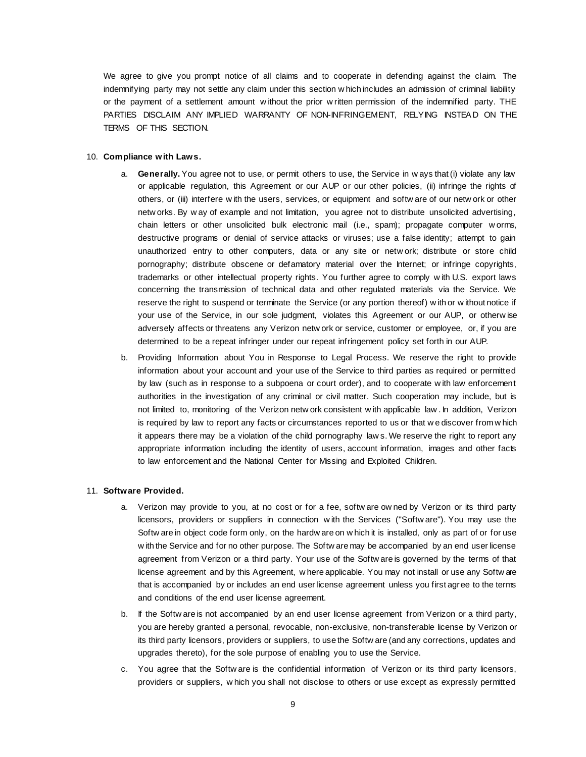We agree to give you prompt notice of all claims and to cooperate in defending against the claim. The indemnifying party may not settle any claim under this section w hich includes an admission of criminal liability or the payment of a settlement amount w ithout the prior w ritten permission of the indemnified party. THE PARTIES DISCLAIM ANY IMPLIED WARRANTY OF NON-INFRINGEMENT, RELYING INSTEA D ON THE TERMS OF THIS SECTION.

# 10. **Compliance with Laws.**

- a. **Generally.** You agree not to use, or permit others to use, the Service in w ays that (i) violate any law or applicable regulation, this Agreement or our AUP or our other policies, (ii) infringe the rights of others, or (iii) interfere w ith the users, services, or equipment and softw are of our netw ork or other netw orks. By w ay of example and not limitation, you agree not to distribute unsolicited advertising, chain letters or other unsolicited bulk electronic mail (i.e., spam); propagate computer w orms, destructive programs or denial of service attacks or viruses; use a false identity; attempt to gain unauthorized entry to other computers, data or any site or netw ork; distribute or store child pornography; distribute obscene or defamatory material over the Internet; or infringe copyrights, trademarks or other intellectual property rights. You further agree to comply w ith U.S. export laws concerning the transmission of technical data and other regulated materials via the Service. We reserve the right to suspend or terminate the Service (or any portion thereof) w ith or w ithout notice if your use of the Service, in our sole judgment, violates this Agreement or our AUP, or otherw ise adversely affects or threatens any Verizon netw ork or service, customer or employee, or, if you are determined to be a repeat infringer under our repeat infringement policy set forth in our AUP.
- b. Providing Information about You in Response to Legal Process. We reserve the right to provide information about your account and your use of the Service to third parties as required or permitted by law (such as in response to a subpoena or court order), and to cooperate w ith law enforcement authorities in the investigation of any criminal or civil matter. Such cooperation may include, but is not limited to, monitoring of the Verizon netw ork consistent w ith applicable law . In addition, Verizon is required by law to report any facts or circumstances reported to us or that w e discover from w hich it appears there may be a violation of the child pornography law s. We reserve the right to report any appropriate information including the identity of users, account information, images and other facts to law enforcement and the National Center for Missing and Exploited Children.

#### 11. **Software Provided.**

- a. Verizon may provide to you, at no cost or for a fee, softw are ow ned by Verizon or its third party licensors, providers or suppliers in connection w ith the Services ("Softw are"). You may use the Softw are in object code form only, on the hardw are on w hich it is installed, only as part of or for use w ith the Service and for no other purpose. The Softw are may be accompanied by an end user license agreement from Verizon or a third party. Your use of the Softw are is governed by the terms of that license agreement and by this Agreement, w here applicable. You may not install or use any Softw are that is accompanied by or includes an end user license agreement unless you first agree to the terms and conditions of the end user license agreement.
- b. If the Softw are is not accompanied by an end user license agreement from Verizon or a third party, you are hereby granted a personal, revocable, non-exclusive, non-transferable license by Verizon or its third party licensors, providers or suppliers, to use the Softw are (and any corrections, updates and upgrades thereto), for the sole purpose of enabling you to use the Service.
- c. You agree that the Softw are is the confidential information of Verizon or its third party licensors, providers or suppliers, w hich you shall not disclose to others or use except as expressly permitted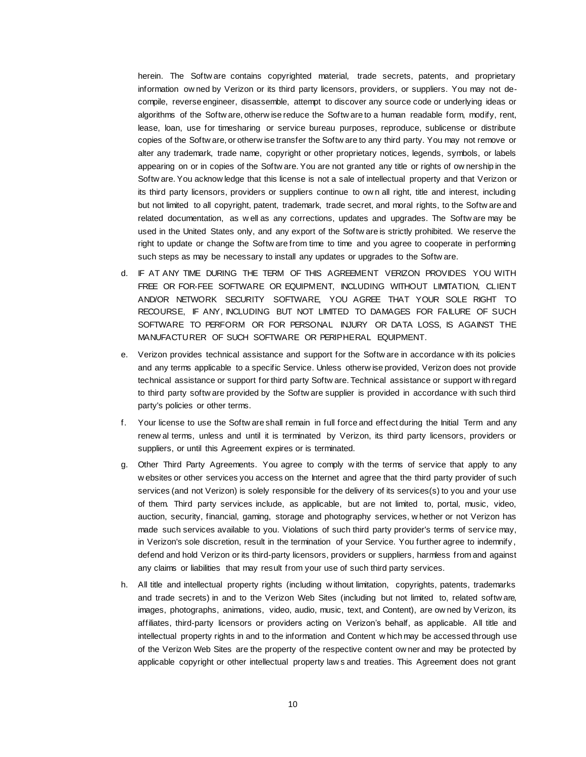herein. The Softw are contains copyrighted material, trade secrets, patents, and proprietary information ow ned by Verizon or its third party licensors, providers, or suppliers. You may not decompile, reverse engineer, disassemble, attempt to discover any source code or underlying ideas or algorithms of the Softw are, otherw ise reduce the Softw are to a human readable form, modify, rent, lease, loan, use for timesharing or service bureau purposes, reproduce, sublicense or distribute copies of the Softw are, or otherw ise transfer the Softw are to any third party. You may not remove or alter any trademark, trade name, copyright or other proprietary notices, legends, symbols, or labels appearing on or in copies of the Softw are. You are not granted any title or rights of ow nership in the Softw are. You acknow ledge that this license is not a sale of intellectual property and that Verizon or its third party licensors, providers or suppliers continue to ow n all right, title and interest, including but not limited to all copyright, patent, trademark, trade secret, and moral rights, to the Softw are and related documentation, as w ell as any corrections, updates and upgrades. The Softw are may be used in the United States only, and any export of the Softw are is strictly prohibited. We reserve the right to update or change the Softw are from time to time and you agree to cooperate in performing such steps as may be necessary to install any updates or upgrades to the Softw are.

- d. IF AT ANY TIME DURING THE TERM OF THIS AGREEMENT VERIZON PROVIDES YOU WITH FREE OR FOR-FEE SOFTWARE OR EQUIPMENT, INCLUDING WITHOUT LIMITATION, CLIENT AND/OR NETWORK SECURITY SOFTWARE, YOU AGREE THAT YOUR SOLE RIGHT TO RECOURSE, IF ANY, INCLUDING BUT NOT LIMITED TO DAMAGES FOR FAILURE OF SUCH SOFTWARE TO PERFORM OR FOR PERSONAL INJURY OR DATA LOSS, IS AGAINST THE MANUFACTURER OF SUCH SOFTWARE OR PERIPHERAL EQUIPMENT.
- e. Verizon provides technical assistance and support for the Softw are in accordance w ith its policies and any terms applicable to a specific Service. Unless otherw ise provided, Verizon does not provide technical assistance or support for third party Softw are. Technical assistance or support w ith regard to third party softw are provided by the Softw are supplier is provided in accordance w ith such third party's policies or other terms.
- f. Your license to use the Softw are shall remain in full force and effect during the Initial Term and any renew al terms, unless and until it is terminated by Verizon, its third party licensors, providers or suppliers, or until this Agreement expires or is terminated.
- g. Other Third Party Agreements. You agree to comply w ith the terms of service that apply to any w ebsites or other services you access on the Internet and agree that the third party provider of such services (and not Verizon) is solely responsible for the delivery of its services(s) to you and your use of them. Third party services include, as applicable, but are not limited to, portal, music, video, auction, security, financial, gaming, storage and photography services, w hether or not Verizon has made such services available to you. Violations of such third party provider's terms of service may, in Verizon's sole discretion, result in the termination of your Service. You further agree to indemnify, defend and hold Verizon or its third-party licensors, providers or suppliers, harmless from and against any claims or liabilities that may result from your use of such third party services.
- h. All title and intellectual property rights (including w ithout limitation, copyrights, patents, trademarks and trade secrets) in and to the Verizon Web Sites (including but not limited to, related softw are, images, photographs, animations, video, audio, music, text, and Content), are ow ned by Verizon, its affiliates, third-party licensors or providers acting on Verizon's behalf, as applicable. All title and intellectual property rights in and to the information and Content w hich may be accessed through use of the Verizon Web Sites are the property of the respective content ow ner and may be protected by applicable copyright or other intellectual property law s and treaties. This Agreement does not grant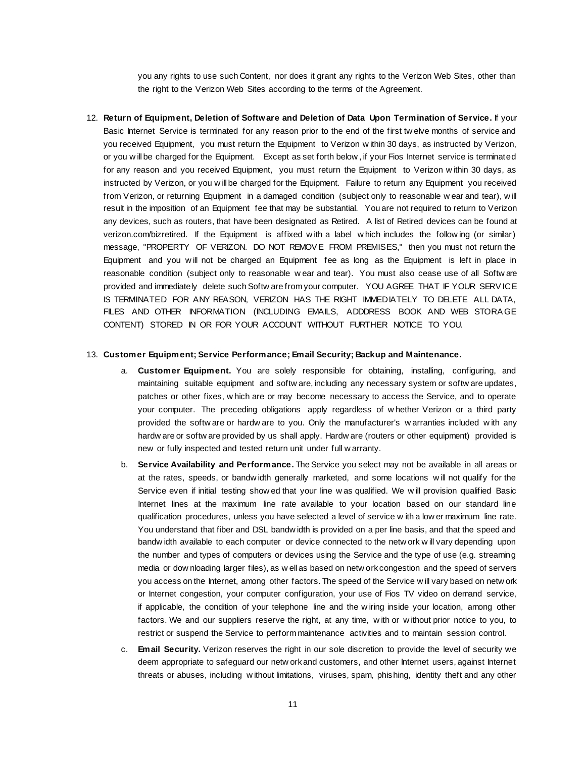you any rights to use such Content, nor does it grant any rights to the Verizon Web Sites, other than the right to the Verizon Web Sites according to the terms of the Agreement.

12. **Return of Equipment, Deletion of Software and Deletion of Data Upon Termination of Service.** If your Basic Internet Service is terminated for any reason prior to the end of the first tw elve months of service and you received Equipment, you must return the Equipment to Verizon w ithin 30 days, as instructed by Verizon, or you w ill be charged for the Equipment. Except as set forth below , if your Fios Internet service is terminated for any reason and you received Equipment, you must return the Equipment to Verizon w ithin 30 days, as instructed by Verizon, or you w ill be charged for the Equipment. Failure to return any Equipment you received from Verizon, or returning Equipment in a damaged condition (subject only to reasonable w ear and tear), w ill result in the imposition of an Equipment fee that may be substantial. You are not required to return to Verizon any devices, such as routers, that have been designated as Retired. A list of Retired devices can be found at [verizon.com/bizretired.](https://www.verizon.com/support/smallbusiness/tv/fiostv/general+support/account+issues/questionsone/retiredequipment.htm) If the Equipment is affixed w ith a label w hich includes the follow ing (or similar) message, "PROPERTY OF VERIZON. DO NOT REMOV E FROM PREMISES," then you must not return the Equipment and you w ill not be charged an Equipment fee as long as the Equipment is left in place in reasonable condition (subject only to reasonable w ear and tear). You must also cease use of all Softw are provided and immediately delete such Softw are from your computer. YOU AGREE THAT IF YOUR SERV ICE IS TERMINATED FOR ANY REASON, VERIZON HAS THE RIGHT IMMEDIATELY TO DELETE ALL DATA, FILES AND OTHER INFORMATION (INCLUDING EMAILS, ADDDRESS BOOK AND WEB STORA GE CONTENT) STORED IN OR FOR YOUR ACCOUNT WITHOUT FURTHER NOTICE TO YOU.

#### 13. **Customer Equipment; Service Performance; Email Security; Backup and Maintenance.**

- a. **Customer Equipment.** You are solely responsible for obtaining, installing, configuring, and maintaining suitable equipment and softw are, including any necessary system or softw are updates, patches or other fixes, w hich are or may become necessary to access the Service, and to operate your computer. The preceding obligations apply regardless of w hether Verizon or a third party provided the softw are or hardw are to you. Only the manufacturer's w arranties included w ith any hardw are or softw are provided by us shall apply. Hardw are (routers or other equipment) provided is new or fully inspected and tested return unit under full w arranty.
- b. **Service Availability and Performance.** The Service you select may not be available in all areas or at the rates, speeds, or bandw idth generally marketed, and some locations w ill not qualify for the Service even if initial testing show ed that your line w as qualified. We w ill provision qualified Basic Internet lines at the maximum line rate available to your location based on our standard line qualification procedures, unless you have selected a level of service w ith a low er maximum line rate. You understand that fiber and DSL bandw idth is provided on a per line basis, and that the speed and bandw idth available to each computer or device connected to the netw ork w ill vary depending upon the number and types of computers or devices using the Service and the type of use (e.g. streaming media or dow nloading larger files), as w ell as based on netw ork congestion and the speed of servers you access on the Internet, among other factors. The speed of the Service w ill vary based on netw ork or Internet congestion, your computer configuration, your use of Fios TV video on demand service, if applicable, the condition of your telephone line and the w iring inside your location, among other factors. We and our suppliers reserve the right, at any time, w ith or w ithout prior notice to you, to restrict or suspend the Service to perform maintenance activities and to maintain session control.
- c. **Email Security.** Verizon reserves the right in our sole discretion to provide the level of security we deem appropriate to safeguard our netw ork and customers, and other Internet users, against Internet threats or abuses, including w ithout limitations, viruses, spam, phishing, identity theft and any other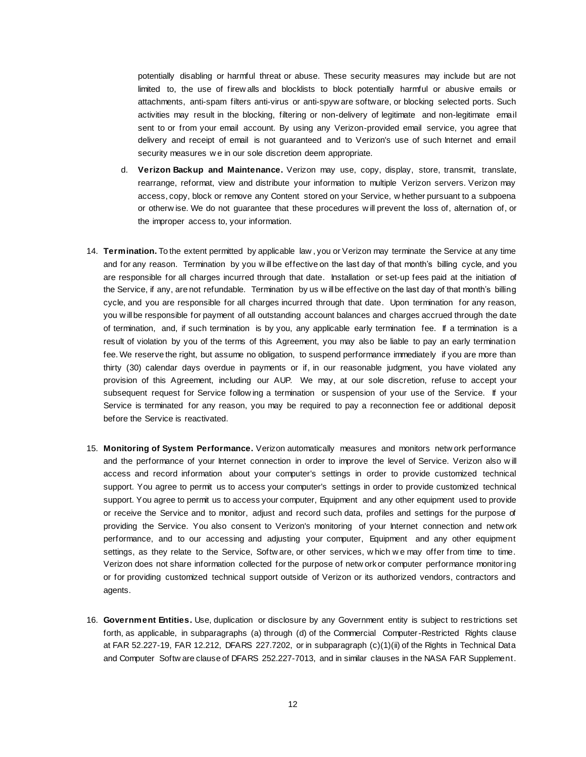potentially disabling or harmful threat or abuse. These security measures may include but are not limited to, the use of firew alls and blocklists to block potentially harmful or abusive emails or attachments, anti-spam filters anti-virus or anti-spyw are software, or blocking selected ports. Such activities may result in the blocking, filtering or non-delivery of legitimate and non-legitimate email sent to or from your email account. By using any Verizon-provided email service, you agree that delivery and receipt of email is not guaranteed and to Verizon's use of such Internet and email security measures w e in our sole discretion deem appropriate.

- d. **Verizon Backup and Maintenance.** Verizon may use, copy, display, store, transmit, translate, rearrange, reformat, view and distribute your information to multiple Verizon servers. Verizon may access, copy, block or remove any Content stored on your Service, w hether pursuant to a subpoena or otherw ise. We do not guarantee that these procedures w ill prevent the loss of, alternation of, or the improper access to, your information.
- 14. **Termination.** To the extent permitted by applicable law , you or Verizon may terminate the Service at any time and for any reason. Termination by you w ill be effective on the last day of that month's billing cycle, and you are responsible for all charges incurred through that date. Installation or set-up fees paid at the initiation of the Service, if any, are not refundable. Termination by us w ill be effective on the last day of that month's billing cycle, and you are responsible for all charges incurred through that date. Upon termination for any reason, you w ill be responsible for payment of all outstanding account balances and charges accrued through the date of termination, and, if such termination is by you, any applicable early termination fee. If a termination is a result of violation by you of the terms of this Agreement, you may also be liable to pay an early termination fee. We reserve the right, but assume no obligation, to suspend performance immediately if you are more than thirty (30) calendar days overdue in payments or if, in our reasonable judgment, you have violated any provision of this Agreement, including our AUP. We may, at our sole discretion, refuse to accept your subsequent request for Service follow ing a termination or suspension of your use of the Service. If your Service is terminated for any reason, you may be required to pay a reconnection fee or additional deposit before the Service is reactivated.
- 15. **Monitoring of System Performance.** Verizon automatically measures and monitors netw ork performance and the performance of your Internet connection in order to improve the level of Service. Verizon also w ill access and record information about your computer's settings in order to provide customized technical support. You agree to permit us to access your computer's settings in order to provide customized technical support. You agree to permit us to access your computer, Equipment and any other equipment used to provide or receive the Service and to monitor, adjust and record such data, profiles and settings for the purpose of providing the Service. You also consent to Verizon's monitoring of your Internet connection and netw ork performance, and to our accessing and adjusting your computer, Equipment and any other equipment settings, as they relate to the Service, Softw are, or other services, w hich w e may offer from time to time. Verizon does not share information collected for the purpose of netw ork or computer performance monitoring or for providing customized technical support outside of Verizon or its authorized vendors, contractors and agents.
- 16. **Government Entities.** Use, duplication or disclosure by any Government entity is subject to restrictions set forth, as applicable, in subparagraphs (a) through (d) of the Commercial Computer-Restricted Rights clause at FAR 52.227-19, FAR 12.212, DFARS 227.7202, or in subparagraph (c)(1)(ii) of the Rights in Technical Data and Computer Softw are clause of DFARS 252.227-7013, and in similar clauses in the NASA FAR Supplement.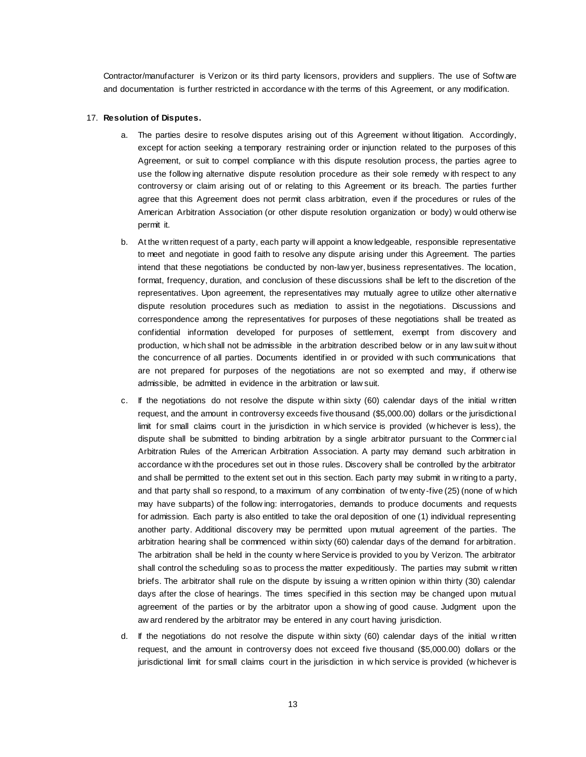Contractor/manufacturer is Verizon or its third party licensors, providers and suppliers. The use of Softw are and documentation is further restricted in accordance w ith the terms of this Agreement, or any modification.

#### 17. **Resolution of Disputes.**

- a. The parties desire to resolve disputes arising out of this Agreement w ithout litigation. Accordingly, except for action seeking a temporary restraining order or injunction related to the purposes of this Agreement, or suit to compel compliance w ith this dispute resolution process, the parties agree to use the follow ing alternative dispute resolution procedure as their sole remedy w ith respect to any controversy or claim arising out of or relating to this Agreement or its breach. The parties further agree that this Agreement does not permit class arbitration, even if the procedures or rules of the American Arbitration Association (or other dispute resolution organization or body) w ould otherw ise permit it.
- b. At the w ritten request of a party, each party w ill appoint a know ledgeable, responsible representative to meet and negotiate in good faith to resolve any dispute arising under this Agreement. The parties intend that these negotiations be conducted by non-law yer, business representatives. The location, format, frequency, duration, and conclusion of these discussions shall be left to the discretion of the representatives. Upon agreement, the representatives may mutually agree to utilize other alternative dispute resolution procedures such as mediation to assist in the negotiations. Discussions and correspondence among the representatives for purposes of these negotiations shall be treated as confidential information developed for purposes of settlement, exempt from discovery and production, w hich shall not be admissible in the arbitration described below or in any law suit w ithout the concurrence of all parties. Documents identified in or provided w ith such communications that are not prepared for purposes of the negotiations are not so exempted and may, if otherw ise admissible, be admitted in evidence in the arbitration or law suit.
- c. If the negotiations do not resolve the dispute w ithin sixty (60) calendar days of the initial w ritten request, and the amount in controversy exceeds five thousand (\$5,000.00) dollars or the jurisdictional limit for small claims court in the jurisdiction in w hich service is provided (w hichever is less), the dispute shall be submitted to binding arbitration by a single arbitrator pursuant to the Commercial Arbitration Rules of the American Arbitration Association. A party may demand such arbitration in accordance w ith the procedures set out in those rules. Discovery shall be controlled by the arbitrator and shall be permitted to the extent set out in this section. Each party may submit in w riting to a party, and that party shall so respond, to a maximum of any combination of tw enty-five (25) (none of w hich may have subparts) of the follow ing: interrogatories, demands to produce documents and requests for admission. Each party is also entitled to take the oral deposition of one (1) individual representing another party. Additional discovery may be permitted upon mutual agreement of the parties. The arbitration hearing shall be commenced w ithin sixty (60) calendar days of the demand for arbitration. The arbitration shall be held in the county w here Service is provided to you by Verizon. The arbitrator shall control the scheduling so as to process the matter expeditiously. The parties may submit w ritten briefs. The arbitrator shall rule on the dispute by issuing a w ritten opinion w ithin thirty (30) calendar days after the close of hearings. The times specified in this section may be changed upon mutual agreement of the parties or by the arbitrator upon a show ing of good cause. Judgment upon the aw ard rendered by the arbitrator may be entered in any court having jurisdiction.
- d. If the negotiations do not resolve the dispute w ithin sixty (60) calendar days of the initial w ritten request, and the amount in controversy does not exceed five thousand (\$5,000.00) dollars or the jurisdictional limit for small claims court in the jurisdiction in w hich service is provided (w hichever is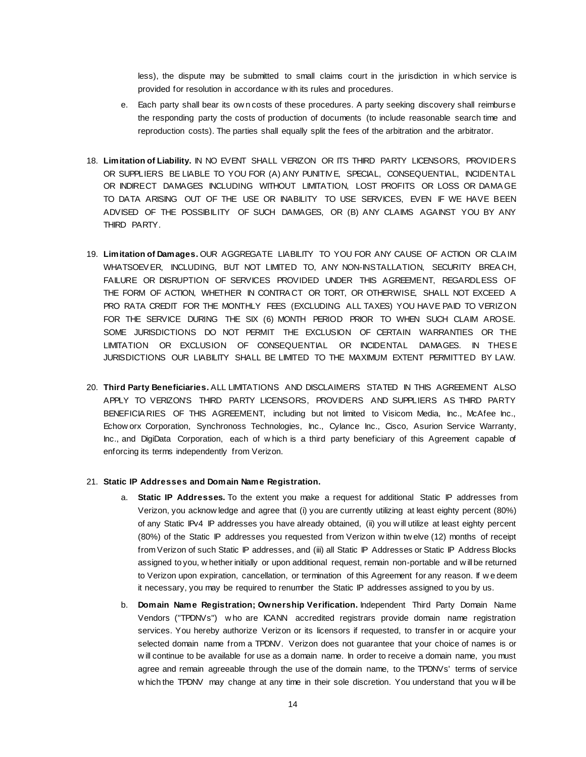less), the dispute may be submitted to small claims court in the jurisdiction in w hich service is provided for resolution in accordance w ith its rules and procedures.

- e. Each party shall bear its ow n costs of these procedures. A party seeking discovery shall reimburse the responding party the costs of production of documents (to include reasonable search time and reproduction costs). The parties shall equally split the fees of the arbitration and the arbitrator.
- 18. **Limitation of Liability.** IN NO EVENT SHALL VERIZON OR ITS THIRD PARTY LICENSORS, PROVIDERS OR SUPPLIERS BE LIABLE TO YOU FOR (A) ANY PUNITIV E, SPECIAL, CONSEQUENTIAL, INCIDENTA L OR INDIRECT DAMAGES INCLUDING WITHOUT LIMITATION, LOST PROFITS OR LOSS OR DAMA GE TO DATA ARISING OUT OF THE USE OR INABILITY TO USE SERVICES, EVEN IF WE HAVE BEEN ADVISED OF THE POSSIBILITY OF SUCH DAMAGES, OR (B) ANY CLAIMS AGAINST YOU BY ANY THIRD PARTY.
- 19. **Limitation of Damages.** OUR AGGREGATE LIABILITY TO YOU FOR ANY CAUSE OF ACTION OR CLA IM WHATSOEV ER, INCLUDING, BUT NOT LIMITED TO, ANY NON-INSTALLATION, SECURITY BREA CH, FAILURE OR DISRUPTION OF SERVICES PROVIDED UNDER THIS AGREEMENT, REGARDLESS OF THE FORM OF ACTION, WHETHER IN CONTRA CT OR TORT, OR OTHERWISE, SHALL NOT EXCEED A PRO RATA CREDIT FOR THE MONTHLY FEES (EXCLUDING ALL TAXES) YOU HAVE PAID TO VERIZON FOR THE SERVICE DURING THE SIX (6) MONTH PERIOD PRIOR TO WHEN SUCH CLAIM AROSE. SOME JURISDICTIONS DO NOT PERMIT THE EXCLUSION OF CERTAIN WARRANTIES OR THE LIMITATION OR EXCLUSION OF CONSEQUENTIAL OR INCIDENTAL DAMAGES. IN THES E JURISDICTIONS OUR LIABILITY SHALL BE LIMITED TO THE MAXIMUM EXTENT PERMITTED BY LAW.
- 20. **Third Party Beneficiaries.** ALL LIMITATIONS AND DISCLAIMERS STATED IN THIS AGREEMENT ALSO APPLY TO VERIZON'S THIRD PARTY LICENSORS, PROVIDERS AND SUPPLIERS AS THIRD PARTY BENEFICIA RIES OF THIS AGREEMENT, including but not limited to Visicom Media, Inc., McAfee Inc., Echow orx Corporation, Synchronoss Technologies, Inc., Cylance Inc., Cisco, Asurion Service Warranty, Inc., and DigiData Corporation, each of w hich is a third party beneficiary of this Agreement capable of enforcing its terms independently from Verizon.

#### 21. **Static IP Addresses and Domain Name Registration.**

- a. **Static IP Addresses.** To the extent you make a request for additional Static IP addresses from Verizon, you acknow ledge and agree that (i) you are currently utilizing at least eighty percent (80%) of any Static IPv4 IP addresses you have already obtained, (ii) you w ill utilize at least eighty percent (80%) of the Static IP addresses you requested from Verizon w ithin tw elve (12) months of receipt from Verizon of such Static IP addresses, and (iii) all Static IP Addresses or Static IP Address Blocks assigned to you, w hether initially or upon additional request, remain non-portable and w ill be returned to Verizon upon expiration, cancellation, or termination of this Agreement for any reason. If w e deem it necessary, you may be required to renumber the Static IP addresses assigned to you by us.
- b. **Domain Name Registration; Ownership Verification.** Independent Third Party Domain Name Vendors ("TPDNVs") w ho are ICANN accredited registrars provide domain name registration services. You hereby authorize Verizon or its licensors if requested, to transfer in or acquire your selected domain name from a TPDNV. Verizon does not guarantee that your choice of names is or w ill continue to be available for use as a domain name. In order to receive a domain name, you must agree and remain agreeable through the use of the domain name, to the TPDNVs' terms of service w hich the TPDNV may change at any time in their sole discretion. You understand that you w ill be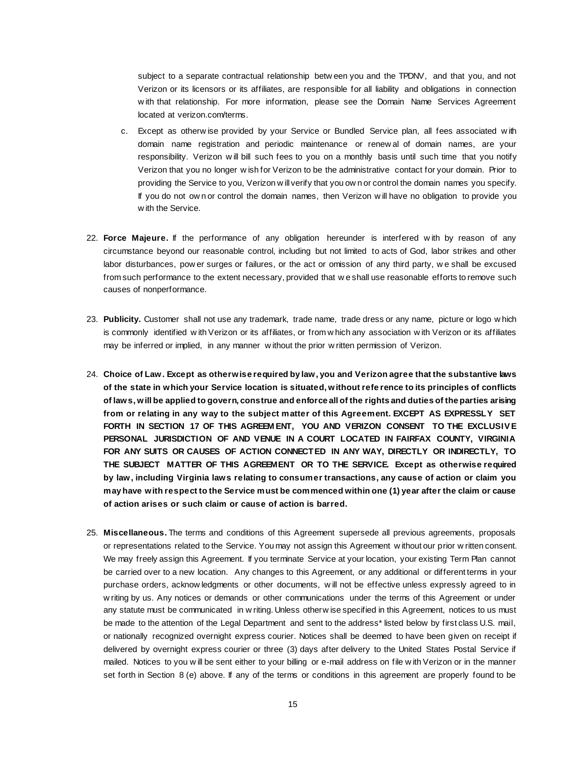subject to a separate contractual relationship betw een you and the TPDNV, and that you, and not Verizon or its licensors or its affiliates, are responsible for all liability and obligations in connection w ith that relationship. For more information, please see the Domain Name Services Agreement located at [verizon.com/terms.](http://business.verizon.com/verizondomainname)

- c. Except as otherw ise provided by your Service or Bundled Service plan, all fees associated w ith domain name registration and periodic maintenance or renew al of domain names, are your responsibility. Verizon w ill bill such fees to you on a monthly basis until such time that you notify Verizon that you no longer w ish for Verizon to be the administrative contact for your domain. Prior to providing the Service to you, Verizon w ill verify that you ow n or control the domain names you specify. If you do not ow n or control the domain names, then Verizon w ill have no obligation to provide you w ith the Service.
- 22. **Force Majeure.** If the performance of any obligation hereunder is interfered w ith by reason of any circumstance beyond our reasonable control, including but not limited to acts of God, labor strikes and other labor disturbances, pow er surges or failures, or the act or omission of any third party, w e shall be excused from such performance to the extent necessary, provided that w e shall use reasonable efforts to remove such causes of nonperformance.
- 23. **Publicity.** Customer shall not use any trademark, trade name, trade dress or any name, picture or logo w hich is commonly identified w ith Verizon or its affiliates, or from w hich any association w ith Verizon or its affiliates may be inferred or implied, in any manner w ithout the prior w ritten permission of Verizon.
- 24. **Choice of Law. Except as otherwise required by law, you and Verizon agree that the substantive laws of the state in which your Service location is situated, without refe rence to its principles of conflicts of laws, will be applied to govern, construe and enforce all of the rights and duties of the parties arising from or relating in any way to the subject matter of this Agreement. EXCEPT AS EXPRESSLY SET FORTH IN SECTION 17 OF THIS AGREEM ENT, YOU AND VERIZON CONSENT TO THE EXCLUSIV E PERSONAL JURISDICTION OF AND VENUE IN A COURT LOCATED IN FAIRFAX COUNTY, VIRGINIA FOR ANY SUITS OR CAUSES OF ACTION CONNECTED IN ANY WAY, DIRECTLY OR INDIRECTLY, TO THE SUBJECT MATTER OF THIS AGREEMENT OR TO THE SERVICE. Except as otherwise required by law, including Virginia laws relating to consumer transactions, any cause of action or claim you may have with respect to the Service must be commenced within one (1) year after the claim or cause of action arises or such claim or cause of action is barred.**
- 25. **Miscellaneous.** The terms and conditions of this Agreement supersede all previous agreements, proposals or representations related to the Service. You may not assign this Agreement w ithout our prior w ritten consent. We may freely assign this Agreement. If you terminate Service at your location, your existing Term Plan cannot be carried over to a new location. Any changes to this Agreement, or any additional or different terms in your purchase orders, acknow ledgments or other documents, w ill not be effective unless expressly agreed to in w riting by us. Any notices or demands or other communications under the terms of this Agreement or under any statute must be communicated in w riting. Unless otherw ise specified in this Agreement, notices to us must be made to the attention of the Legal Department and sent to the address\* listed below by first class U.S. mail, or nationally recognized overnight express courier. Notices shall be deemed to have been given on receipt if delivered by overnight express courier or three (3) days after delivery to the United States Postal Service if mailed. Notices to you w ill be sent either to your billing or e-mail address on file w ith Verizon or in the manner set forth in Section  $8$  (e) above. If any of the terms or conditions in this agreement are properly found to be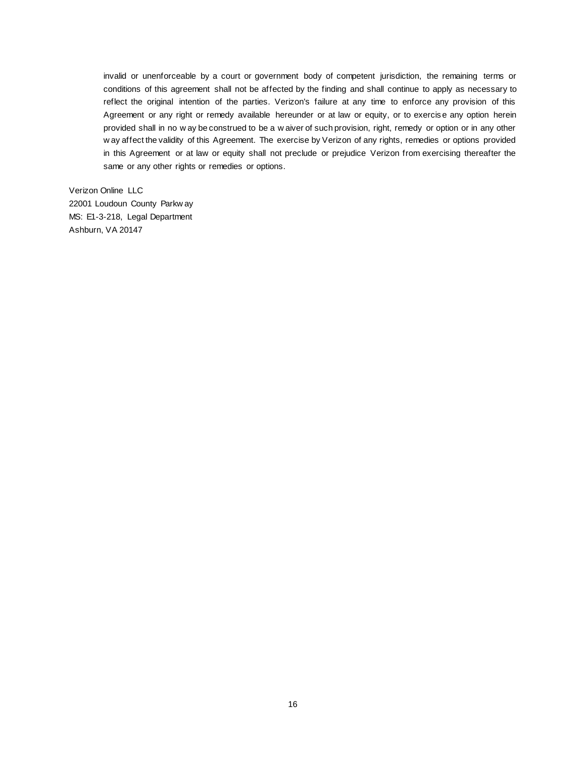invalid or unenforceable by a court or government body of competent jurisdiction, the remaining terms or conditions of this agreement shall not be affected by the finding and shall continue to apply as necessary to reflect the original intention of the parties. Verizon's failure at any time to enforce any provision of this Agreement or any right or remedy available hereunder or at law or equity, or to exercise any option herein provided shall in no w ay be construed to be a w aiver of such provision, right, remedy or option or in any other w ay affect the validity of this Agreement. The exercise by Verizon of any rights, remedies or options provided in this Agreement or at law or equity shall not preclude or prejudice Verizon from exercising thereafter the same or any other rights or remedies or options.

Verizon Online LLC 22001 Loudoun County Parkw ay MS: E1-3-218, Legal Department Ashburn, VA 20147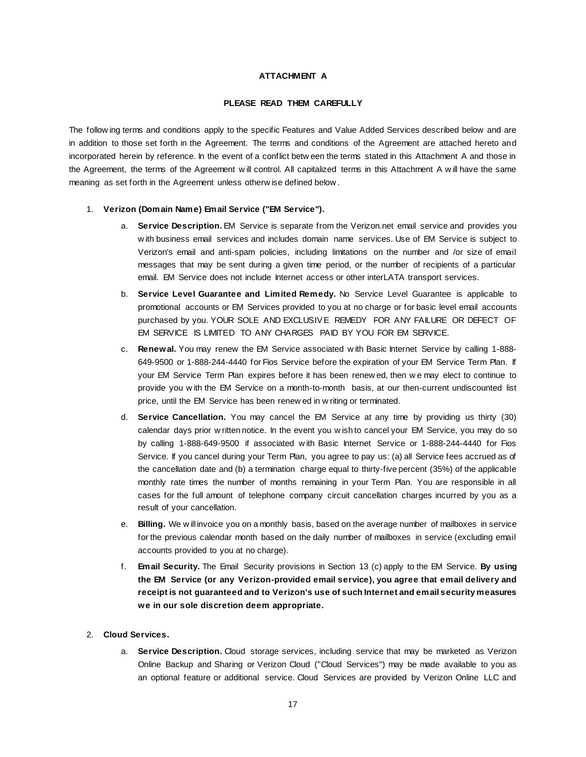## **ATTACHMENT A**

### **PLEASE READ THEM CAREFULLY**

The follow ing terms and conditions apply to the specific Features and Value Added Services described below and are in addition to those set forth in the Agreement. The terms and conditions of the Agreement are attached hereto and incorporated herein by reference. In the event of a conflict betw een the terms stated in this Attachment A and those in the Agreement, the terms of the Agreement w ill control. All capitalized terms in this Attachment A w ill have the same meaning as set forth in the Agreement unless otherw ise defined below .

### 1. **Verizon (Domain Name) Email Service ("EM Service").**

- a. **Service Description.** EM Service is separate from the Verizon.net email service and provides you w ith business email services and includes domain name services. Use of EM Service is subject to Verizon's email and anti-spam policies, including limitations on the number and /or size of email messages that may be sent during a given time period, or the number of recipients of a particular email. EM Service does not include Internet access or other interLATA transport services.
- b. **Service Level Guarantee and Limited Remedy.** No Service Level Guarantee is applicable to promotional accounts or EM Services provided to you at no charge or for basic level email accounts purchased by you. YOUR SOLE AND EXCLUSIVE REMEDY FOR ANY FAILURE OR DEFECT OF EM SERVICE IS LIMITED TO ANY CHARGES PAID BY YOU FOR EM SERVICE.
- c. **Renewal.** You may renew the EM Service associated w ith Basic Internet Service by calling 1-888- 649-9500 or 1-888-244-4440 for Fios Service before the expiration of your EM Service Term Plan. If your EM Service Term Plan expires before it has been renew ed, then w e may elect to continue to provide you w ith the EM Service on a month-to-month basis, at our then-current undiscounted list price, until the EM Service has been renew ed in w riting or terminated.
- d. **Service Cancellation.** You may cancel the EM Service at any time by providing us thirty (30) calendar days prior w ritten notice. In the event you w ish to cancel your EM Service, you may do so by calling 1-888-649-9500 if associated w ith Basic Internet Service or 1-888-244-4440 for Fios Service. If you cancel during your Term Plan, you agree to pay us: (a) all Service fees accrued as of the cancellation date and (b) a termination charge equal to thirty-five percent (35%) of the applicable monthly rate times the number of months remaining in your Term Plan. You are responsible in all cases for the full amount of telephone company circuit cancellation charges incurred by you as a result of your cancellation.
- e. **Billing.** We w ill invoice you on a monthly basis, based on the average number of mailboxes in service for the previous calendar month based on the daily number of mailboxes in service (excluding email accounts provided to you at no charge).
- f. **Email Security.** The Email Security provisions in Section 13 (c) apply to the EM Service. **By using the EM Service (or any Verizon-provided email service), you agree that email delivery and receipt is not guaranteed and to Verizon's use of such Internet and email security measures we in our sole discretion deem appropriate.**

## 2. **Cloud Services.**

a. **Service Description.** Cloud storage services, including service that may be marketed as Verizon Online Backup and Sharing or Verizon Cloud ("Cloud Services") may be made available to you as an optional feature or additional service. Cloud Services are provided by Verizon Online LLC and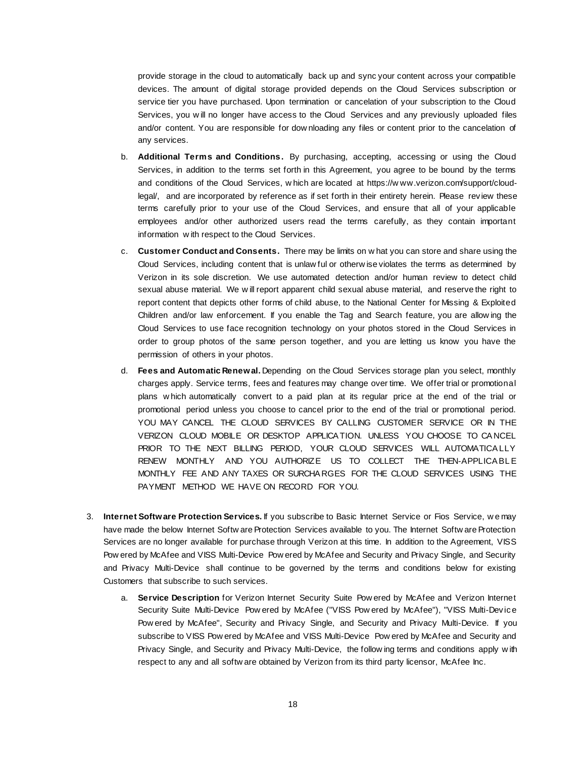provide storage in the cloud to automatically back up and sync your content across your compatible devices. The amount of digital storage provided depends on the Cloud Services subscription or service tier you have purchased. Upon termination or cancelation of your subscription to the Cloud Services, you w ill no longer have access to the Cloud Services and any previously uploaded files and/or content. You are responsible for dow nloading any files or content prior to the cancelation of any services.

- b. **Additional Terms and Conditions.** By purchasing, accepting, accessing or using the Cloud Services, in addition to the terms set forth in this Agreement, you agree to be bound by the terms and conditions of the Cloud Services, w hich are located at https://w ww.verizon.com/support/cloudlegal/, and are incorporated by reference as if set forth in their entirety herein. Please review these terms carefully prior to your use of the Cloud Services, and ensure that all of your applicable employees and/or other authorized users read the terms carefully, as they contain important information w ith respect to the Cloud Services.
- c. **Customer Conduct and Consents.** There may be limits on w hat you can store and share using the Cloud Services, including content that is unlaw ful or otherw ise violates the terms as determined by Verizon in its sole discretion. We use automated detection and/or human review to detect child sexual abuse material. We w ill report apparent child sexual abuse material, and reserve the right to report content that depicts other forms of child abuse, to the National Center for Missing & Exploited Children and/or law enforcement. If you enable the Tag and Search feature, you are allow ing the Cloud Services to use face recognition technology on your photos stored in the Cloud Services in order to group photos of the same person together, and you are letting us know you have the permission of others in your photos.
- d. **Fees and Automatic Renewal.** Depending on the Cloud Services storage plan you select, monthly charges apply. Service terms, fees and features may change over time. We offer trial or promotional plans w hich automatically convert to a paid plan at its regular price at the end of the trial or promotional period unless you choose to cancel prior to the end of the trial or promotional period. YOU MAY CANCEL THE CLOUD SERVICES BY CALLING CUSTOMER SERVICE OR IN THE VERIZON CLOUD MOBILE OR DESKTOP APPLICA TION. UNLESS YOU CHOOSE TO CA NCEL PRIOR TO THE NEXT BILLING PERIOD. YOUR CLOUD SERVICES WILL AUTOMATICALLY RENEW MONTHLY AND YOU AUTHORIZE US TO COLLECT THE THEN-APPLICABLE MONTHLY FEE AND ANY TAXES OR SURCHA RGES FOR THE CLOUD SERVICES USING THE PAYMENT METHOD WE HAVE ON RECORD FOR YOU.
- 3. **Internet Software Protection Services.** If you subscribe to Basic Internet Service or Fios Service, w e may have made the below Internet Softw are Protection Services available to you. The Internet Softw are Protection Services are no longer available for purchase through Verizon at this time. In addition to the Agreement, VISS Pow ered by McAfee and VISS Multi-Device Pow ered by McAfee and Security and Privacy Single, and Security and Privacy Multi-Device shall continue to be governed by the terms and conditions below for existing Customers that subscribe to such services.
	- a. **Service Description** for Verizon Internet Security Suite Pow ered by McAfee and Verizon Internet Security Suite Multi-Device Pow ered by McAfee ("VISS Pow ered by McAfee"), "VISS Multi-Device Pow ered by McAfee", Security and Privacy Single, and Security and Privacy Multi-Device. If you subscribe to VISS Pow ered by McAfee and VISS Multi-Device Pow ered by McAfee and Security and Privacy Single, and Security and Privacy Multi-Device, the follow ing terms and conditions apply w ith respect to any and all softw are obtained by Verizon from its third party licensor, McAfee Inc.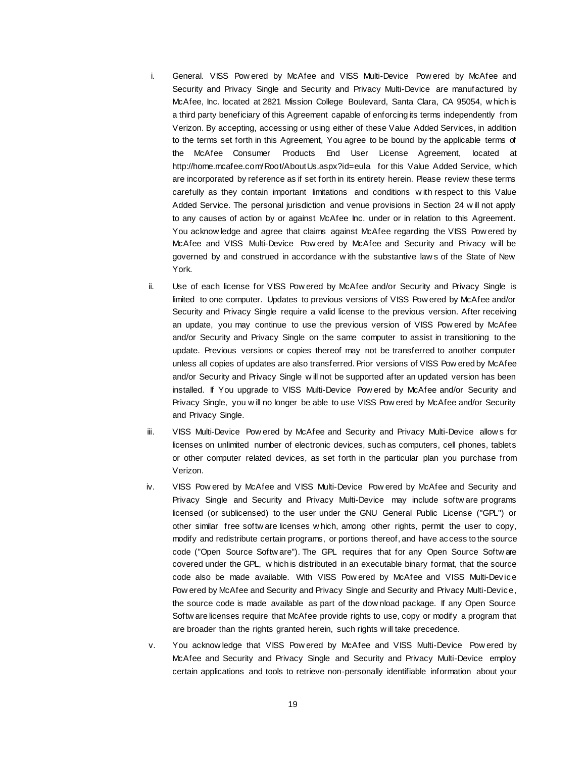- i. General. VISS Pow ered by McAfee and VISS Multi-Device Pow ered by McAfee and Security and Privacy Single and Security and Privacy Multi-Device are manufactured by McAfee, Inc. located at 2821 Mission College Boulevard, Santa Clara, CA 95054, w hich is a third party beneficiary of this Agreement capable of enforcing its terms independently from Verizon. By accepting, accessing or using either of these Value Added Services, in addition to the terms set forth in this Agreement, You agree to be bound by the applicable terms of the McAfee Consumer Products End User License Agreement, located at <http://home.mcafee.com/Root/AboutUs.aspx?id=eula> for this Value Added Service, w hich are incorporated by reference as if set forth in its entirety herein. Please review these terms carefully as they contain important limitations and conditions w ith respect to this Value Added Service. The personal jurisdiction and venue provisions in Section 24 w ill not apply to any causes of action by or against McAfee Inc. under or in relation to this Agreement. You acknow ledge and agree that claims against McAfee regarding the VISS Pow ered by McAfee and VISS Multi-Device Pow ered by McAfee and Security and Privacy w ill be governed by and construed in accordance w ith the substantive law s of the State of New York.
- ii. Use of each license for VISS Pow ered by McAfee and/or Security and Privacy Single is limited to one computer. Updates to previous versions of VISS Pow ered by McAfee and/or Security and Privacy Single require a valid license to the previous version. After receiving an update, you may continue to use the previous version of VISS Pow ered by McAfee and/or Security and Privacy Single on the same computer to assist in transitioning to the update. Previous versions or copies thereof may not be transferred to another computer unless all copies of updates are also transferred. Prior versions of VISS Pow ered by McAfee and/or Security and Privacy Single w ill not be supported after an updated version has been installed. If You upgrade to VISS Multi-Device Pow ered by McAfee and/or Security and Privacy Single, you w ill no longer be able to use VISS Pow ered by McAfee and/or Security and Privacy Single.
- iii. VISS Multi-Device Pow ered by McAfee and Security and Privacy Multi-Device allow s for licenses on unlimited number of electronic devices, such as computers, cell phones, tablets or other computer related devices, as set forth in the particular plan you purchase from Verizon.
- iv. VISS Pow ered by McAfee and VISS Multi-Device Pow ered by McAfee and Security and Privacy Single and Security and Privacy Multi-Device may include softw are programs licensed (or sublicensed) to the user under the GNU General Public License ("GPL") or other similar free softw are licenses w hich, among other rights, permit the user to copy, modify and redistribute certain programs, or portions thereof, and have access to the source code ("Open Source Softw are"). The GPL requires that for any Open Source Softw are covered under the GPL, w hich is distributed in an executable binary format, that the source code also be made available. With VISS Pow ered by McAfee and VISS Multi-Device Pow ered by McAfee and Security and Privacy Single and Security and Privacy Multi-Device, the source code is made available as part of the dow nload package. If any Open Source Softw are licenses require that McAfee provide rights to use, copy or modify a program that are broader than the rights granted herein, such rights w ill take precedence.
- v. You acknow ledge that VISS Pow ered by McAfee and VISS Multi-Device Pow ered by McAfee and Security and Privacy Single and Security and Privacy Multi-Device employ certain applications and tools to retrieve non-personally identifiable information about your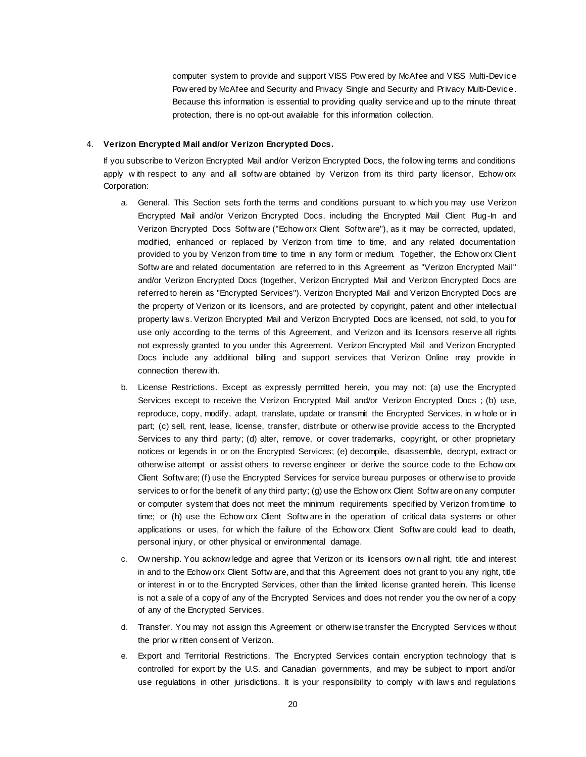computer system to provide and support VISS Pow ered by McAfee and VISS Multi-Device Pow ered by McAfee and Security and Privacy Single and Security and Privacy Multi-Device. Because this information is essential to providing quality service and up to the minute threat protection, there is no opt-out available for this information collection.

### 4. **Verizon Encrypted Mail and/or Verizon Encrypted Docs.**

If you subscribe to Verizon Encrypted Mail and/or Verizon Encrypted Docs, the follow ing terms and conditions apply w ith respect to any and all softw are obtained by Verizon from its third party licensor, Echow orx Corporation:

- a. General. This Section sets forth the terms and conditions pursuant to w hich you may use Verizon Encrypted Mail and/or Verizon Encrypted Docs, including the Encrypted Mail Client Plug-In and Verizon Encrypted Docs Softw are ("Echow orx Client Softw are"), as it may be corrected, updated, modified, enhanced or replaced by Verizon from time to time, and any related documentation provided to you by Verizon from time to time in any form or medium. Together, the Echow orx Client Softw are and related documentation are referred to in this Agreement as "Verizon Encrypted Mail" and/or Verizon Encrypted Docs (together, Verizon Encrypted Mail and Verizon Encrypted Docs are referred to herein as "Encrypted Services"). Verizon Encrypted Mail and Verizon Encrypted Docs are the property of Verizon or its licensors, and are protected by copyright, patent and other intellectual property law s. Verizon Encrypted Mail and Verizon Encrypted Docs are licensed, not sold, to you for use only according to the terms of this Agreement, and Verizon and its licensors reserve all rights not expressly granted to you under this Agreement. Verizon Encrypted Mail and Verizon Encrypted Docs include any additional billing and support services that Verizon Online may provide in connection therew ith.
- b. License Restrictions. Except as expressly permitted herein, you may not: (a) use the Encrypted Services except to receive the Verizon Encrypted Mail and/or Verizon Encrypted Docs ; (b) use, reproduce, copy, modify, adapt, translate, update or transmit the Encrypted Services, in w hole or in part; (c) sell, rent, lease, license, transfer, distribute or otherw ise provide access to the Encrypted Services to any third party; (d) alter, remove, or cover trademarks, copyright, or other proprietary notices or legends in or on the Encrypted Services; (e) decompile, disassemble, decrypt, extract or otherw ise attempt or assist others to reverse engineer or derive the source code to the Echow orx Client Softw are; (f) use the Encrypted Services for service bureau purposes or otherw ise to provide services to or for the benefit of any third party; (g) use the Echow orx Client Softw are on any computer or computer system that does not meet the minimum requirements specified by Verizon from time to time; or (h) use the Echow orx Client Softw are in the operation of critical data systems or other applications or uses, for w hich the failure of the Echow orx Client Softw are could lead to death, personal injury, or other physical or environmental damage.
- c. Ow nership. You acknow ledge and agree that Verizon or its licensors ow n all right, title and interest in and to the Echow orx Client Softw are, and that this Agreement does not grant to you any right, title or interest in or to the Encrypted Services, other than the limited license granted herein. This license is not a sale of a copy of any of the Encrypted Services and does not render you the ow ner of a copy of any of the Encrypted Services.
- d. Transfer. You may not assign this Agreement or otherw ise transfer the Encrypted Services w ithout the prior w ritten consent of Verizon.
- e. Export and Territorial Restrictions. The Encrypted Services contain encryption technology that is controlled for export by the U.S. and Canadian governments, and may be subject to import and/or use regulations in other jurisdictions. It is your responsibility to comply w ith law s and regulations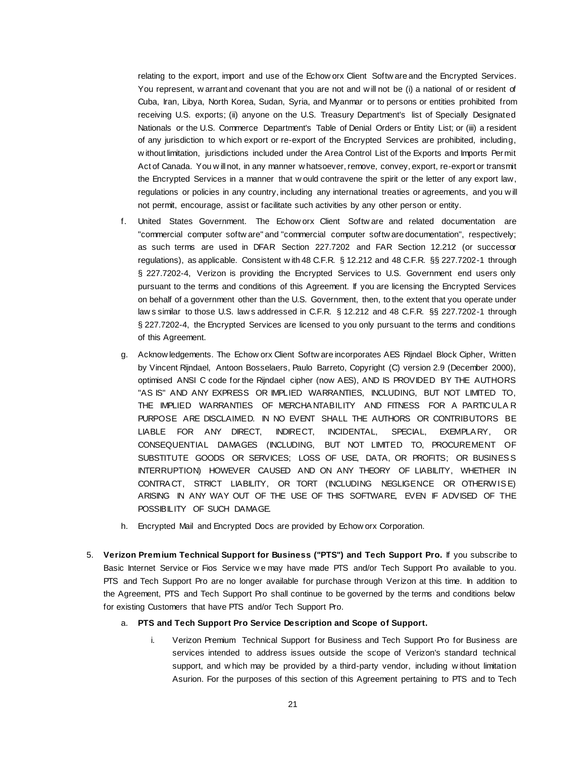relating to the export, import and use of the Echow orx Client Softw are and the Encrypted Services. You represent, w arrant and covenant that you are not and will not be (i) a national of or resident of Cuba, Iran, Libya, North Korea, Sudan, Syria, and Myanmar or to persons or entities prohibited from receiving U.S. exports; (ii) anyone on the U.S. Treasury Department's list of Specially Designated Nationals or the U.S. Commerce Department's Table of Denial Orders or Entity List; or (iii) a resident of any jurisdiction to w hich export or re-export of the Encrypted Services are prohibited, including, w ithout limitation, jurisdictions included under the Area Control List of the Exports and Imports Permit Act of Canada. You w ill not, in any manner w hatsoever, remove, convey, export, re-export or transmit the Encrypted Services in a manner that w ould contravene the spirit or the letter of any export law, regulations or policies in any country, including any international treaties or agreements, and you w ill not permit, encourage, assist or facilitate such activities by any other person or entity.

- f. United States Government. The Echow orx Client Softw are and related documentation are "commercial computer softw are" and "commercial computer softw are documentation", respectively; as such terms are used in DFAR Section 227.7202 and FAR Section 12.212 (or successor regulations), as applicable. Consistent w ith 48 C.F.R. § 12.212 and 48 C.F.R. §§ 227.7202-1 through § 227.7202-4, Verizon is providing the Encrypted Services to U.S. Government end users only pursuant to the terms and conditions of this Agreement. If you are licensing the Encrypted Services on behalf of a government other than the U.S. Government, then, to the extent that you operate under law s similar to those U.S. law s addressed in C.F.R. § 12.212 and 48 C.F.R. §§ 227.7202-1 through § 227.7202-4, the Encrypted Services are licensed to you only pursuant to the terms and conditions of this Agreement.
- g. Acknow ledgements. The Echow orx Client Softw are incorporates AES Rijndael Block Cipher, Written by Vincent Rijndael, Antoon Bosselaers, Paulo Barreto, Copyright (C) version 2.9 (December 2000), optimised ANSI C code for the Rijndael cipher (now AES), AND IS PROVIDED BY THE AUTHORS ''AS IS'' AND ANY EXPRESS OR IMPLIED WARRANTIES, INCLUDING, BUT NOT LIMITED TO, THE IMPLIED WARRANTIES OF MERCHA NTABILITY AND FITNESS FOR A PARTICULA R PURPOSE ARE DISCLAIMED. IN NO EVENT SHALL THE AUTHORS OR CONTRIBUTORS BE LIABLE FOR ANY DIRECT, INDIRECT, INCIDENTAL, SPECIAL, EXEMPLA RY, OR CONSEQUENTIAL DAMAGES (INCLUDING, BUT NOT LIMITED TO, PROCUREMENT OF SUBSTITUTE GOODS OR SERVICES; LOSS OF USE, DATA, OR PROFITS; OR BUSINES S INTERRUPTION) HOWEVER CAUSED AND ON ANY THEORY OF LIABILITY, WHETHER IN CONTRA CT, STRICT LIABILITY, OR TORT (INCLUDING NEGLIGENCE OR OTHERW IS E) ARISING IN ANY WAY OUT OF THE USE OF THIS SOFTWARE, EVEN IF ADVISED OF THE POSSIBILITY OF SUCH DAMAGE.
- h. Encrypted Mail and Encrypted Docs are provided by Echow orx Corporation.
- 5. **Verizon Premium Technical Support for Business ("PTS") and Tech Support Pro.** If you subscribe to Basic Internet Service or Fios Service we may have made PTS and/or Tech Support Pro available to you. PTS and Tech Support Pro are no longer available for purchase through Verizon at this time. In addition to the Agreement, PTS and Tech Support Pro shall continue to be governed by the terms and conditions below for existing Customers that have PTS and/or Tech Support Pro.

### a. **PTS and Tech Support Pro Service Description and Scope of Support.**

i. Verizon Premium Technical Support for Business and Tech Support Pro for Business are services intended to address issues outside the scope of Verizon's standard technical support, and w hich may be provided by a third-party vendor, including w ithout limitation Asurion. For the purposes of this section of this Agreement pertaining to PTS and to Tech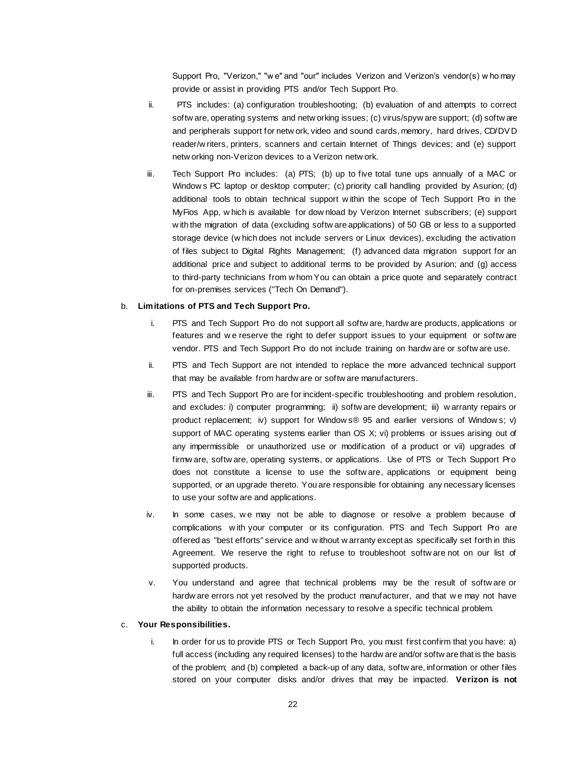Support Pro, "Verizon," "w e" and "our" includes Verizon and Verizon's vendor(s) w ho may provide or assist in providing PTS and/or Tech Support Pro.

- ii. PTS includes: (a) configuration troubleshooting; (b) evaluation of and attempts to correct softw are, operating systems and netw orking issues; (c) virus/spyw are support; (d) softw are and peripherals support for netw ork, video and sound cards, memory, hard drives, CD/DV D reader/w riters, printers, scanners and certain Internet of Things devices; and (e) support netw orking non-Verizon devices to a Verizon netw ork.
- iii. Tech Support Pro includes: (a) PTS; (b) up to five total tune ups annually of a MAC or Window s PC laptop or desktop computer; (c) priority call handling provided by Asurion; (d) additional tools to obtain technical support w ithin the scope of Tech Support Pro in the MyFios App, w hich is available for dow nload by Verizon Internet subscribers; (e) support w ith the migration of data (excluding softw are applications) of 50 GB or less to a supported storage device (w hich does not include servers or Linux devices), excluding the activation of files subject to Digital Rights Management; (f) advanced data migration support for an additional price and subject to additional terms to be provided by Asurion; and (g) access to third-party technicians from w hom You can obtain a price quote and separately contract for on-premises services ("Tech On Demand").

### b. **Limitations of PTS and Tech Support Pro.**

- i. PTS and Tech Support Pro do not support all softw are, hardw are products, applications or features and w e reserve the right to defer support issues to your equipment or softw are vendor. PTS and Tech Support Pro do not include training on hardw are or softw are use.
- ii. PTS and Tech Support are not intended to replace the more advanced technical support that may be available from hardw are or softw are manufacturers.
- iii. PTS and Tech Support Pro are for incident-specific troubleshooting and problem resolution, and excludes: i) computer programming; ii) softw are development; iii) w arranty repairs or product replacement; iv) support for Window s® 95 and earlier versions of Window s; v) support of MAC operating systems earlier than OS X; vi) problems or issues arising out of any impermissible or unauthorized use or modification of a product or vii) upgrades of firmw are, softw are, operating systems, or applications. Use of PTS or Tech Support Pro does not constitute a license to use the softw are, applications or equipment being supported, or an upgrade thereto. You are responsible for obtaining any necessary licenses to use your softw are and applications.
- iv. In some cases, we may not be able to diagnose or resolve a problem because of complications w ith your computer or its configuration. PTS and Tech Support Pro are offered as "best efforts" service and w ithout w arranty except as specifically set forth in this Agreement. We reserve the right to refuse to troubleshoot softw are not on our list of supported products.
- v. You understand and agree that technical problems may be the result of softw are or hardw are errors not yet resolved by the product manufacturer, and that w e may not have the ability to obtain the information necessary to resolve a specific technical problem.

### c. **Your Responsibilities.**

i. In order for us to provide PTS or Tech Support Pro, you must first confirm that you have: a) full access (including any required licenses) to the hardw are and/or softw are that is the basis of the problem; and (b) completed a back-up of any data, softw are, information or other files stored on your computer disks and/or drives that may be impacted. **Verizon is not**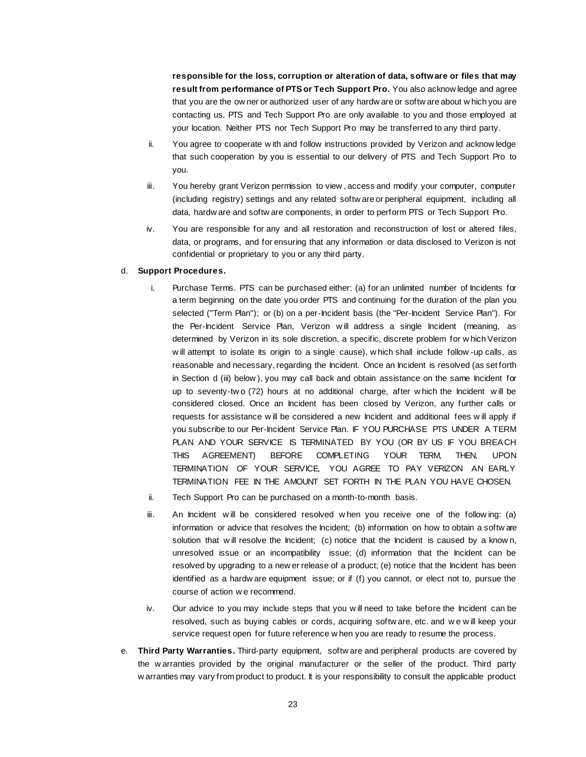**responsible for the loss, corruption or alteration of data, software or files that may result from performance of PTS or Tech Support Pro.** You also acknow ledge and agree that you are the ow ner or authorized user of any hardw are or softw are about w hich you are contacting us. PTS and Tech Support Pro are only available to you and those employed at your location. Neither PTS nor Tech Support Pro may be transferred to any third party.

- ii. You agree to cooperate w ith and follow instructions provided by Verizon and acknow ledge that such cooperation by you is essential to our delivery of PTS and Tech Support Pro to you.
- iii. You hereby grant Verizon permission to view , access and modify your computer, computer (including registry) settings and any related softw are or peripheral equipment, including all data, hardw are and softw are components, in order to perform PTS or Tech Support Pro.
- iv. You are responsible for any and all restoration and reconstruction of lost or altered files, data, or programs, and for ensuring that any information or data disclosed to Verizon is not confidential or proprietary to you or any third party.

### d. **Support Procedures.**

- i. Purchase Terms. PTS can be purchased either: (a) for an unlimited number of Incidents for a term beginning on the date you order PTS and continuing for the duration of the plan you selected ("Term Plan"); or (b) on a per-Incident basis (the "Per-Incident Service Plan"). For the Per-Incident Service Plan, Verizon w ill address a single Incident (meaning, as determined by Verizon in its sole discretion, a specific, discrete problem for w hich Verizon w ill attempt to isolate its origin to a single cause), w hich shall include follow -up calls, as reasonable and necessary, regarding the Incident. Once an Incident is resolved (as set forth in Section d (iii) below ), you may call back and obtain assistance on the same Incident for up to seventy-tw o (72) hours at no additional charge, after w hich the Incident w ill be considered closed. Once an Incident has been closed by Verizon, any further calls or requests for assistance w ill be considered a new Incident and additional fees w ill apply if you subscribe to our Per-Incident Service Plan. IF YOU PURCHASE PTS UNDER A TERM PLAN AND YOUR SERVICE IS TERMINATED BY YOU (OR BY US IF YOU BREACH THIS AGREEMENT) BEFORE COMPLETING YOUR TERM, THEN, UPON TERMINATION OF YOUR SERVICE, YOU AGREE TO PAY VERIZON AN EARLY TERMINATION FEE IN THE AMOUNT SET FORTH IN THE PLAN YOU HAVE CHOSEN.
- ii. Tech Support Pro can be purchased on a month-to-month basis.
- iii. An Incident w ill be considered resolved w hen you receive one of the follow ing: (a) information or advice that resolves the Incident; (b) information on how to obtain a softw are solution that will resolve the Incident; (c) notice that the Incident is caused by a known, unresolved issue or an incompatibility issue; (d) information that the Incident can be resolved by upgrading to a new er release of a product; (e) notice that the Incident has been identified as a hardw are equipment issue; or if (f) you cannot, or elect not to, pursue the course of action w e recommend.
- iv. Our advice to you may include steps that you w ill need to take before the Incident can be resolved, such as buying cables or cords, acquiring softw are, etc. and w e w ill keep your service request open for future reference w hen you are ready to resume the process.
- e. **Third Party Warranties.** Third-party equipment, softw are and peripheral products are covered by the w arranties provided by the original manufacturer or the seller of the product. Third party w arranties may vary from product to product. It is your responsibility to consult the applicable product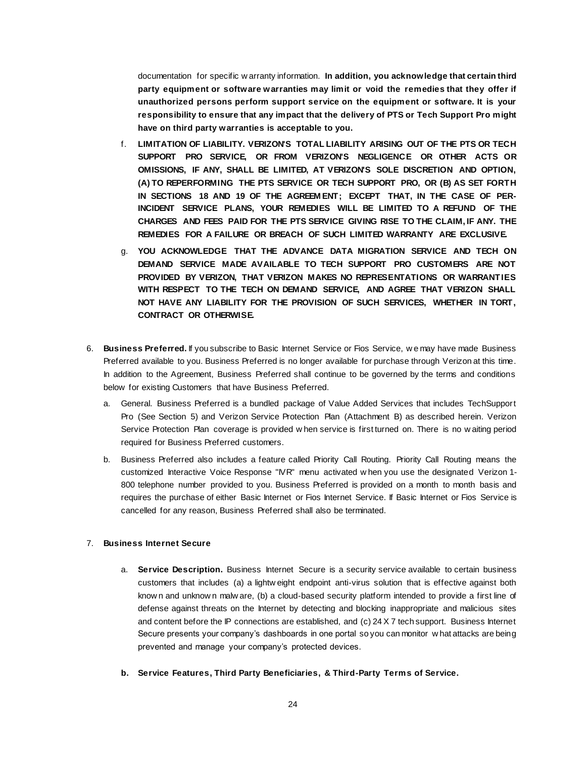documentation for specific w arranty information. **In addition, you acknowledge that certain third party equipment or software warranties may limit or void the remedies that they offer if unauthorized persons perform support service on the equipment or software. It is your responsibility to ensure that any impact that the delivery of PTS or Tech Support Pro might have on third party warranties is acceptable to you.**

- f. **LIMITATION OF LIABILITY. VERIZON'S TOTAL LIABILITY ARISING OUT OF THE PTS OR TECH SUPPORT PRO SERVICE, OR FROM VERIZON'S NEGLIGENCE OR OTHER ACTS OR OMISSIONS, IF ANY, SHALL BE LIMITED, AT VERIZON'S SOLE DISCRETION AND OPTION, (A) TO REPERFORMING THE PTS SERVICE OR TECH SUPPORT PRO, OR (B) AS SET FORTH IN SECTIONS 18 AND 19 OF THE AGREEM ENT; EXCEPT THAT, IN THE CASE OF PER-INCIDENT SERVICE PLANS, YOUR REMEDIES WILL BE LIMITED TO A REFUND OF THE CHARGES AND FEES PAID FOR THE PTS SERVICE GIVING RISE TO THE CLAIM, IF ANY. THE REMEDIES FOR A FAILURE OR BREACH OF SUCH LIMITED WARRANTY ARE EXCLUSIVE.**
- g. **YOU ACKNOWLEDGE THAT THE ADVANCE DATA MIGRATION SERVICE AND TECH ON DEMAND SERVICE MADE AVAILABLE TO TECH SUPPORT PRO CUSTOMERS ARE NOT PROVIDED BY VERIZON, THAT VERIZON MAKES NO REPRESENTATIONS OR WARRANTIES WITH RESPECT TO THE TECH ON DEMAND SERVICE, AND AGREE THAT VERIZON SHALL NOT HAVE ANY LIABILITY FOR THE PROVISION OF SUCH SERVICES, WHETHER IN TORT, CONTRACT OR OTHERWISE.**
- 6. **Business Preferred.** If you subscribe to Basic Internet Service or Fios Service, w e may have made Business Preferred available to you. Business Preferred is no longer available for purchase through Verizon at this time. In addition to the Agreement, Business Preferred shall continue to be governed by the terms and conditions below for existing Customers that have Business Preferred.
	- a. General. Business Preferred is a bundled package of Value Added Services that includes TechSupport Pro (See Section 5) and Verizon Service Protection Plan (Attachment B) as described herein. Verizon Service Protection Plan coverage is provided w hen service is first turned on. There is no w aiting period required for Business Preferred customers.
	- b. Business Preferred also includes a feature called Priority Call Routing. Priority Call Routing means the customized Interactive Voice Response "IVR" menu activated w hen you use the designated Verizon 1- 800 telephone number provided to you. Business Preferred is provided on a month to month basis and requires the purchase of either Basic Internet or Fios Internet Service. If Basic Internet or Fios Service is cancelled for any reason, Business Preferred shall also be terminated.

### 7. **Business Internet Secure**

- a. **Service Description.** Business Internet Secure is a security service available to certain business customers that includes (a) a lightw eight endpoint anti-virus solution that is effective against both know n and unknow n malw are, (b) a cloud-based security platform intended to provide a first line of defense against threats on the Internet by detecting and blocking inappropriate and malicious sites and content before the IP connections are established, and (c) 24 X 7 tech support. Business Internet Secure presents your company's dashboards in one portal so you can monitor w hat attacks are being prevented and manage your company's protected devices.
- **b. Service Features, Third Party Beneficiaries, & Third-Party Terms of Service.**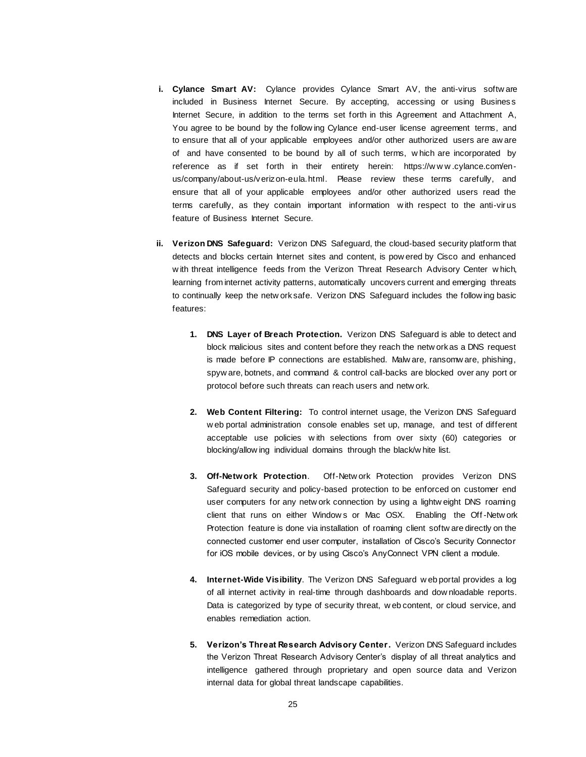- **i. Cylance Smart AV:** Cylance provides Cylance Smart AV, the anti-virus softw are included in Business Internet Secure. By accepting, accessing or using Business Internet Secure, in addition to the terms set forth in this Agreement and Attachment A, You agree to be bound by the follow ing Cylance end-user license agreement terms, and to ensure that all of your applicable employees and/or other authorized users are aw are of and have consented to be bound by all of such terms, w hich are incorporated by reference as if set forth in their entirety herein: https://www.cylance.com/enus/company/about-us/verizon-eula.html. Please review these terms carefully, and ensure that all of your applicable employees and/or other authorized users read the terms carefully, as they contain important information w ith respect to the anti-virus feature of Business Internet Secure.
- **ii. Verizon DNS Safeguard:** Verizon DNS Safeguard, the cloud-based security platform that detects and blocks certain Internet sites and content, is pow ered by Cisco and enhanced w ith threat intelligence feeds from the Verizon Threat Research Advisory Center w hich, learning from internet activity patterns, automatically uncovers current and emerging threats to continually keep the netw ork safe. Verizon DNS Safeguard includes the follow ing basic features:
	- **1. DNS Layer of Breach Protection.** Verizon DNS Safeguard is able to detect and block malicious sites and content before they reach the netw ork as a DNS request is made before IP connections are established. Malw are, ransomw are, phishing, spyw are, botnets, and command & control call-backs are blocked over any port or protocol before such threats can reach users and netw ork.
	- **2. Web Content Filtering:** To control internet usage, the Verizon DNS Safeguard w eb portal administration console enables set up, manage, and test of different acceptable use policies w ith selections from over sixty (60) categories or blocking/allow ing individual domains through the black/w hite list.
	- **3. Off-Network Protection**. Off-Netw ork Protection provides Verizon DNS Safeguard security and policy-based protection to be enforced on customer end user computers for any netw ork connection by using a lightw eight DNS roaming client that runs on either Window s or Mac OSX. Enabling the Off-Netw ork Protection feature is done via installation of roaming client softw are directly on the connected customer end user computer, installation of Cisco's Security Connector for iOS mobile devices, or by using Cisco's AnyConnect VPN client a module.
	- **4. Internet-Wide Visibility**. The Verizon DNS Safeguard w eb portal provides a log of all internet activity in real-time through dashboards and dow nloadable reports. Data is categorized by type of security threat, w eb content, or cloud service, and enables remediation action.
	- **5. Verizon's Threat Research Advisory Center.** Verizon DNS Safeguard includes the Verizon Threat Research Advisory Center's display of all threat analytics and intelligence gathered through proprietary and open source data and Verizon internal data for global threat landscape capabilities.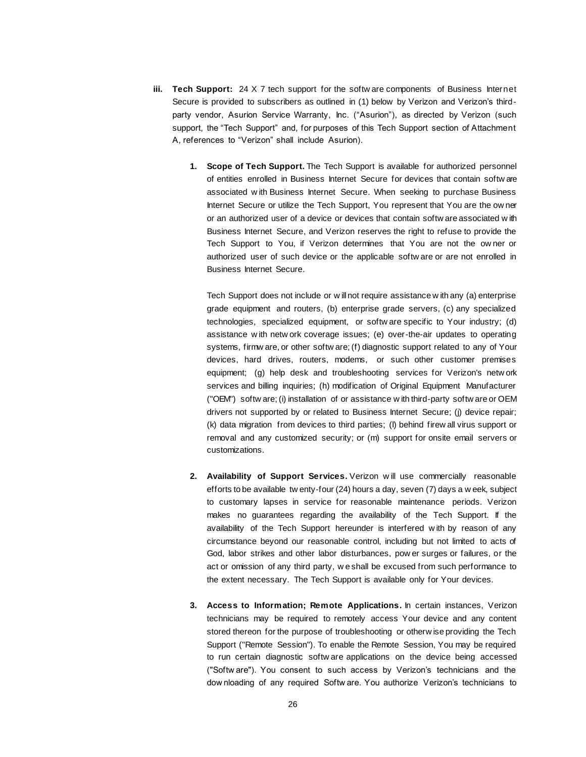- **iii. Tech Support:** 24 X 7 tech support for the softw are components of Business Internet Secure is provided to subscribers as outlined in (1) below by Verizon and Verizon's thirdparty vendor, Asurion Service Warranty, Inc. ("Asurion"), as directed by Verizon (such support, the "Tech Support" and, for purposes of this Tech Support section of Attachment A, references to "Verizon" shall include Asurion).
	- **1. Scope of Tech Support.** The Tech Support is available for authorized personnel of entities enrolled in Business Internet Secure for devices that contain softw are associated w ith Business Internet Secure. When seeking to purchase Business Internet Secure or utilize the Tech Support, You represent that You are the ow ner or an authorized user of a device or devices that contain softw are associated w ith Business Internet Secure, and Verizon reserves the right to refuse to provide the Tech Support to You, if Verizon determines that You are not the ow ner or authorized user of such device or the applicable softw are or are not enrolled in Business Internet Secure.

Tech Support does not include or w ill not require assistance w ith any (a) enterprise grade equipment and routers, (b) enterprise grade servers, (c) any specialized technologies, specialized equipment, or softw are specific to Your industry; (d) assistance w ith netw ork coverage issues; (e) over-the-air updates to operating systems, firmw are, or other softw are; (f) diagnostic support related to any of Your devices, hard drives, routers, modems, or such other customer premises equipment; (g) help desk and troubleshooting services for Verizon's netw ork services and billing inquiries; (h) modification of Original Equipment Manufacturer ("OEM") softw are; (i) installation of or assistance w ith third-party softw are or OEM drivers not supported by or related to Business Internet Secure; (j) device repair; (k) data migration from devices to third parties; (l) behind firew all virus support or removal and any customized security; or (m) support for onsite email servers or customizations.

- **2. Availability of Support Services.** Verizon w ill use commercially reasonable efforts to be available tw enty-four (24) hours a day, seven (7) days a w eek, subject to customary lapses in service for reasonable maintenance periods. Verizon makes no guarantees regarding the availability of the Tech Support. If the availability of the Tech Support hereunder is interfered w ith by reason of any circumstance beyond our reasonable control, including but not limited to acts of God, labor strikes and other labor disturbances, pow er surges or failures, or the act or omission of any third party, w e shall be excused from such performance to the extent necessary. The Tech Support is available only for Your devices.
- **3. Access to Information; Remote Applications.** In certain instances, Verizon technicians may be required to remotely access Your device and any content stored thereon for the purpose of troubleshooting or otherw ise providing the Tech Support ("Remote Session"). To enable the Remote Session, You may be required to run certain diagnostic softw are applications on the device being accessed ("Softw are"). You consent to such access by Verizon's technicians and the dow nloading of any required Softw are. You authorize Verizon's technicians to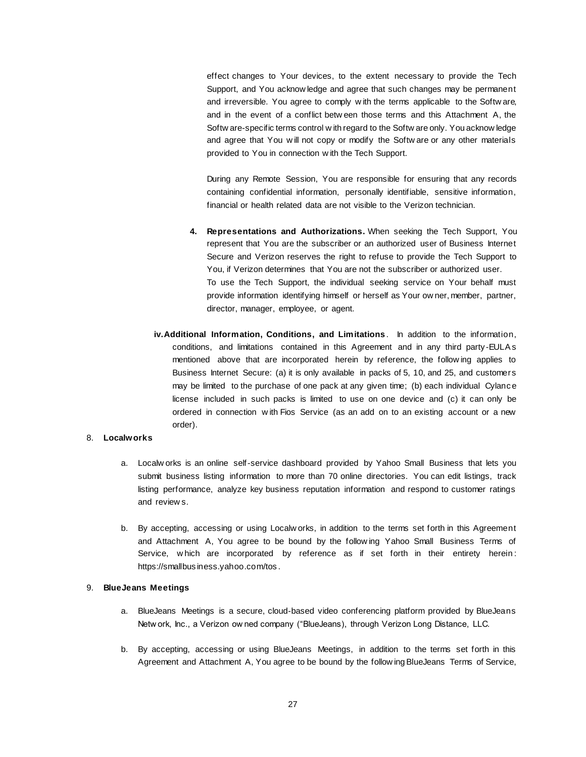effect changes to Your devices, to the extent necessary to provide the Tech Support, and You acknow ledge and agree that such changes may be permanent and irreversible. You agree to comply w ith the terms applicable to the Softw are, and in the event of a conflict betw een those terms and this Attachment A, the Softw are-specific terms control w ith regard to the Softw are only. You acknow ledge and agree that You w ill not copy or modify the Softw are or any other materials provided to You in connection w ith the Tech Support.

During any Remote Session, You are responsible for ensuring that any records containing confidential information, personally identifiable, sensitive information, financial or health related data are not visible to the Verizon technician.

- **4. Representations and Authorizations.** When seeking the Tech Support, You represent that You are the subscriber or an authorized user of Business Internet Secure and Verizon reserves the right to refuse to provide the Tech Support to You, if Verizon determines that You are not the subscriber or authorized user. To use the Tech Support, the individual seeking service on Your behalf must provide information identifying himself or herself as Your ow ner, member, partner, director, manager, employee, or agent.
- **iv.Additional Information, Conditions, and Limitations** . In addition to the information, conditions, and limitations contained in this Agreement and in any third party -EULA s mentioned above that are incorporated herein by reference, the follow ing applies to Business Internet Secure: (a) it is only available in packs of 5, 10, and 25, and customers may be limited to the purchase of one pack at any given time; (b) each individual Cylance license included in such packs is limited to use on one device and (c) it can only be ordered in connection w ith Fios Service (as an add on to an existing account or a new order).

### 8. **Localworks**

- a. Localw orks is an online self-service dashboard provided by Yahoo Small Business that lets you submit business listing information to more than 70 online directories. You can edit listings, track listing performance, analyze key business reputation information and respond to customer ratings and review s.
- b. By accepting, accessing or using Localw orks, in addition to the terms set forth in this Agreement and Attachment A, You agree to be bound by the follow ing Yahoo Small Business Terms of Service, w hich are incorporated by reference as if set forth in their entirety herein : https://smallbusiness.yahoo.com/tos .

### 9. **BlueJeans Meetings**

- a. BlueJeans Meetings is a secure, cloud-based video conferencing platform provided by BlueJeans Netw ork, Inc., a Verizon ow ned company ("BlueJeans), through Verizon Long Distance, LLC.
- b. By accepting, accessing or using BlueJeans Meetings, in addition to the terms set forth in this Agreement and Attachment A, You agree to be bound by the follow ing BlueJeans Terms of Service,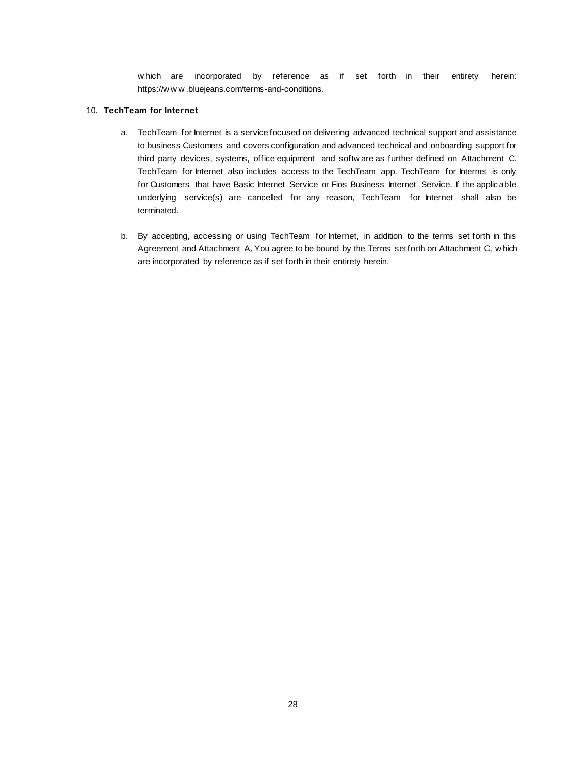w hich are incorporated by reference as if set forth in their entirety herein: https://w w w .bluejeans.com/terms-and-conditions.

# 10. **TechTeam for Internet**

- a. TechTeam for Internet is a service focused on delivering advanced technical support and assistance to business Customers and covers configuration and advanced technical and onboarding support for third party devices, systems, office equipment and softw are as further defined on Attachment C. TechTeam for Internet also includes access to the TechTeam app. TechTeam for Internet is only for Customers that have Basic Internet Service or Fios Business Internet Service. If the applicable underlying service(s) are cancelled for any reason, TechTeam for Internet shall also be terminated.
- b. By accepting, accessing or using TechTeam for Internet, in addition to the terms set forth in this Agreement and Attachment A, You agree to be bound by the Terms set forth on Attachment C, w hich are incorporated by reference as if set forth in their entirety herein.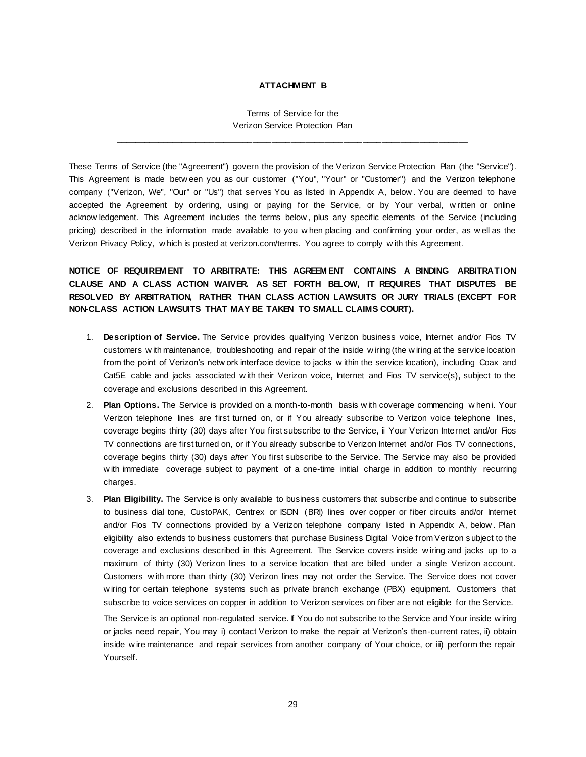## **ATTACHMENT B**

Terms of Service for the Verizon Service Protection Plan

\_\_\_\_\_\_\_\_\_\_\_\_\_\_\_\_\_\_\_\_\_\_\_\_\_\_\_\_\_\_\_\_\_\_\_\_\_\_\_\_\_\_\_\_\_\_\_\_\_\_\_\_\_\_\_\_\_\_\_\_\_\_\_\_\_\_\_\_\_\_\_\_\_\_

These Terms of Service (the "Agreement") govern the provision of the Verizon Service Protection Plan (the "Service"). This Agreement is made betw een you as our customer ("You", "Your" or "Customer") and the Verizon telephone company ("Verizon, We", "Our" or "Us") that serves You as listed in Appendix A, below . You are deemed to have accepted the Agreement by ordering, using or paying for the Service, or by Your verbal, w ritten or online acknow ledgement. This Agreement includes the terms below , plus any specific elements of the Service (including pricing) described in the information made available to you w hen placing and confirming your order, as w ell as the Verizon Privacy Policy, w hich is posted at verizon.com/terms. You agree to comply w ith this Agreement.

**NOTICE OF REQUIREM ENT TO ARBITRATE: THIS AGREEM ENT CONTAINS A BINDING ARBITRATION CLAUSE AND A CLASS ACTION WAIVER. AS SET FORTH BELOW, IT REQUIRES THAT DISPUTES BE RESOLVED BY ARBITRATION, RATHER THAN CLASS ACTION LAWSUITS OR JURY TRIALS (EXCEPT FOR NON-CLASS ACTION LAWSUITS THAT MAY BE TAKEN TO SMALL CLAIMS COURT).**

- 1. **Description of Service.** The Service provides qualifying Verizon business voice, Internet and/or Fios TV customers w ith maintenance, troubleshooting and repair of the inside w iring (the w iring at the service location from the point of Verizon's netw ork interface device to jacks w ithin the service location), including Coax and Cat5E cable and jacks associated w ith their Verizon voice, Internet and Fios TV service(s), subject to the coverage and exclusions described in this Agreement.
- 2. **Plan Options.** The Service is provided on a month-to-month basis w ith coverage commencing w hen i. Your Verizon telephone lines are first turned on, or if You already subscribe to Verizon voice telephone lines, coverage begins thirty (30) days after You first subscribe to the Service, ii Your Verizon Internet and/or Fios TV connections are first turned on, or if You already subscribe to Verizon Internet and/or Fios TV connections, coverage begins thirty (30) days *after* You first subscribe to the Service. The Service may also be provided w ith immediate coverage subject to payment of a one-time initial charge in addition to monthly recurring charges.
- 3. **Plan Eligibility.** The Service is only available to business customers that subscribe and continue to subscribe to business dial tone, CustoPAK, Centrex or ISDN (BRI) lines over copper or fiber circuits and/or Internet and/or Fios TV connections provided by a Verizon telephone company listed in Appendix A, below. Plan eligibility also extends to business customers that purchase Business Digital Voice from Verizon s ubject to the coverage and exclusions described in this Agreement. The Service covers inside w iring and jacks up to a maximum of thirty (30) Verizon lines to a service location that are billed under a single Verizon account. Customers w ith more than thirty (30) Verizon lines may not order the Service. The Service does not cover w iring for certain telephone systems such as private branch exchange (PBX) equipment. Customers that subscribe to voice services on copper in addition to Verizon services on fiber are not eligible for the Service.

The Service is an optional non-regulated service. If You do not subscribe to the Service and Your inside w iring or jacks need repair, You may i) contact Verizon to make the repair at Verizon's then-current rates, ii) obtain inside w ire maintenance and repair services from another company of Your choice, or iii) perform the repair Yourself.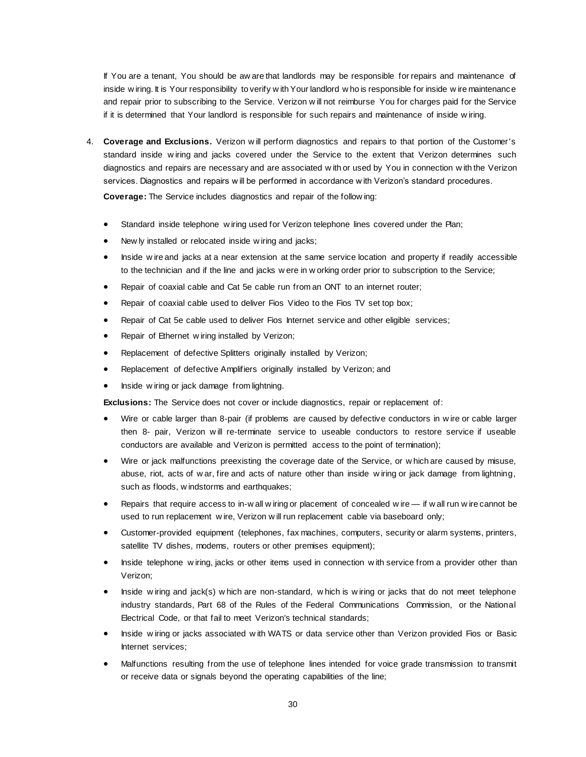If You are a tenant, You should be aw are that landlords may be responsible for repairs and maintenance of inside w iring. It is Your responsibility to verify w ith Your landlord w ho is responsible for inside w ire maintenance and repair prior to subscribing to the Service. Verizon w ill not reimburse You for charges paid for the Service if it is determined that Your landlord is responsible for such repairs and maintenance of inside w iring.

4. **Coverage and Exclusions.** Verizon w ill perform diagnostics and repairs to that portion of the Customer's standard inside w iring and jacks covered under the Service to the extent that Verizon determines such diagnostics and repairs are necessary and are associated w ith or used by You in connection w ith the Verizon services. Diagnostics and repairs w ill be performed in accordance w ith Verizon's standard procedures.

**Coverage:** The Service includes diagnostics and repair of the follow ing:

- Standard inside telephone w iring used for Verizon telephone lines covered under the Plan;
- New ly installed or relocated inside w iring and jacks;
- Inside w ire and jacks at a near extension at the same service location and property if readily accessible to the technician and if the line and jacks w ere in w orking order prior to subscription to the Service;
- Repair of coaxial cable and Cat 5e cable run from an ONT to an internet router;
- Repair of coaxial cable used to deliver Fios Video to the Fios TV set top box;
- Repair of Cat 5e cable used to deliver Fios Internet service and other eligible services;
- Repair of Ethernet w iring installed by Verizon;
- Replacement of defective Splitters originally installed by Verizon;
- Replacement of defective Amplifiers originally installed by Verizon; and
- Inside w iring or jack damage from lightning.

**Exclusions:** The Service does not cover or include diagnostics, repair or replacement of:

- Wire or cable larger than 8-pair (if problems are caused by defective conductors in w ire or cable larger then 8- pair, Verizon w ill re-terminate service to useable conductors to restore service if useable conductors are available and Verizon is permitted access to the point of termination);
- Wire or jack malfunctions preexisting the coverage date of the Service, or w hich are caused by misuse, abuse, riot, acts of w ar, fire and acts of nature other than inside w iring or jack damage from lightning, such as floods, w indstorms and earthquakes;
- Repairs that require access to in-w all w iring or placement of concealed w ire if w all run w ire cannot be used to run replacement w ire, Verizon w ill run replacement cable via baseboard only;
- Customer-provided equipment (telephones, fax machines, computers, security or alarm systems, printers, satellite TV dishes, modems, routers or other premises equipment);
- Inside telephone w iring, jacks or other items used in connection w ith service from a provider other than Verizon;
- Inside w iring and jack(s) w hich are non-standard, w hich is w iring or jacks that do not meet telephone industry standards, Part 68 of the Rules of the Federal Communications Commission, or the National Electrical Code, or that fail to meet Verizon's technical standards;
- Inside w iring or jacks associated w ith WATS or data service other than Verizon provided Fios or Basic Internet services;
- Malfunctions resulting from the use of telephone lines intended for voice grade transmission to transmit or receive data or signals beyond the operating capabilities of the line;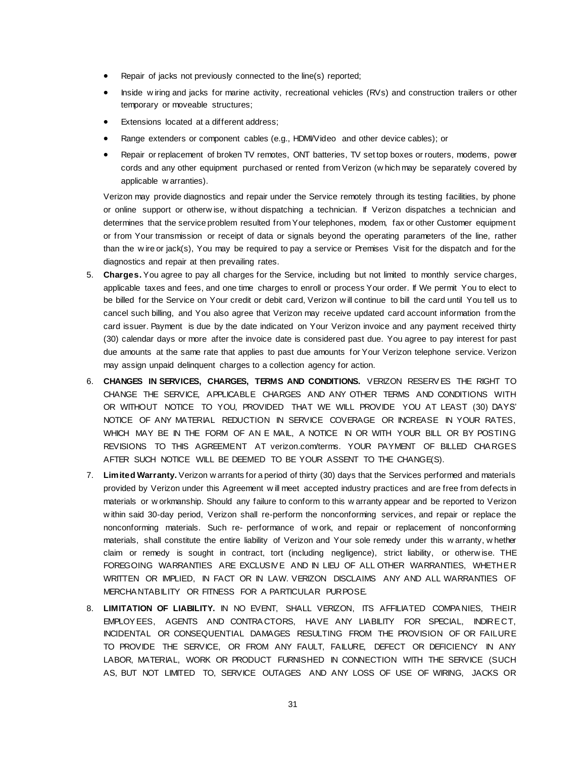- Repair of jacks not previously connected to the line(s) reported;
- Inside w iring and jacks for marine activity, recreational vehicles (RVs) and construction trailers or other temporary or moveable structures;
- Extensions located at a different address;
- Range extenders or component cables (e.g., HDMI/Video and other device cables); or
- Repair or replacement of broken TV remotes, ONT batteries, TV set top boxes or routers, modems, power cords and any other equipment purchased or rented from Verizon (w hich may be separately covered by applicable w arranties).

Verizon may provide diagnostics and repair under the Service remotely through its testing facilities, by phone or online support or otherw ise, w ithout dispatching a technician. If Verizon dispatches a technician and determines that the service problem resulted from Your telephones, modem, fax or other Customer equipment or from Your transmission or receipt of data or signals beyond the operating parameters of the line, rather than the w ire or jack(s), You may be required to pay a service or Premises Visit for the dispatch and for the diagnostics and repair at then prevailing rates.

- 5. **Charges.** You agree to pay all charges for the Service, including but not limited to monthly service charges, applicable taxes and fees, and one time charges to enroll or process Your order. If We permit You to elect to be billed for the Service on Your credit or debit card, Verizon w ill continue to bill the card until You tell us to cancel such billing, and You also agree that Verizon may receive updated card account information from the card issuer. Payment is due by the date indicated on Your Verizon invoice and any payment received thirty (30) calendar days or more after the invoice date is considered past due. You agree to pay interest for past due amounts at the same rate that applies to past due amounts for Your Verizon telephone service. Verizon may assign unpaid delinquent charges to a collection agency for action.
- 6. **CHANGES IN SERVICES, CHARGES, TERMS AND CONDITIONS.** VERIZON RESERV ES THE RIGHT TO CHANGE THE SERVICE, APPLICABLE CHARGES AND ANY OTHER TERMS AND CONDITIONS WITH OR WITHOUT NOTICE TO YOU, PROVIDED THAT WE WILL PROVIDE YOU AT LEAST (30) DAYS' NOTICE OF ANY MATERIAL REDUCTION IN SERVICE COVERAGE OR INCREASE IN YOUR RATES, WHICH MAY BE IN THE FORM OF AN E MAIL, A NOTICE IN OR WITH YOUR BILL OR BY POSTING REVISIONS TO THIS AGREEMENT AT verizon.com/terms. YOUR PAYMENT OF BILLED CHA RGES AFTER SUCH NOTICE WILL BE DEEMED TO BE YOUR ASSENT TO THE CHANGE(S).
- 7. **Limited Warranty.** Verizon w arrants for a period of thirty (30) days that the Services performed and materials provided by Verizon under this Agreement w ill meet accepted industry practices and are free from defects in materials or w orkmanship. Should any failure to conform to this w arranty appear and be reported to Verizon w ithin said 30-day period, Verizon shall re-perform the nonconforming services, and repair or replace the nonconforming materials. Such re- performance of w ork, and repair or replacement of nonconforming materials, shall constitute the entire liability of Verizon and Your sole remedy under this w arranty, w hether claim or remedy is sought in contract, tort (including negligence), strict liability, or otherw ise. THE FOREGOING WARRANTIES ARE EXCLUSIVE AND IN LIEU OF ALL OTHER WARRANTIES, WHETHER WRITTEN OR IMPLIED, IN FACT OR IN LAW. VERIZON DISCLAIMS ANY AND ALL WARRANTIES OF MERCHA NTABILITY OR FITNESS FOR A PARTICULAR PURPOSE.
- 8. **LIMITATION OF LIABILITY.** IN NO EVENT, SHALL VERIZON, ITS AFFILIATED COMPA NIES, THEIR EMPLOY EES, AGENTS AND CONTRA CTORS, HAVE ANY LIABILITY FOR SPECIAL, INDIRE CT, INCIDENTAL OR CONSEQUENTIAL DAMAGES RESULTING FROM THE PROVISION OF OR FAILURE TO PROVIDE THE SERVICE, OR FROM ANY FAULT, FAILURE, DEFECT OR DEFICIENCY IN ANY LABOR, MATERIAL, WORK OR PRODUCT FURNISHED IN CONNECTION WITH THE SERVICE (SUCH AS, BUT NOT LIMITED TO, SERVICE OUTAGES AND ANY LOSS OF USE OF WIRING, JACKS OR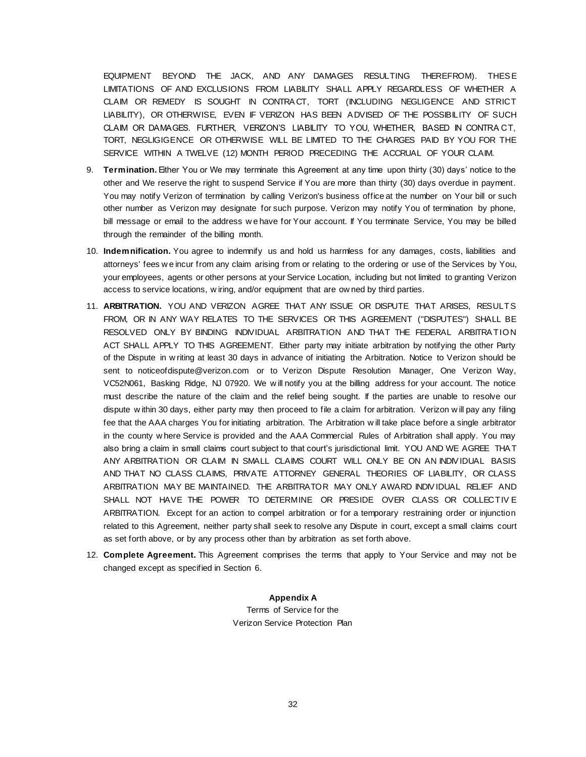EQUIPMENT BEYOND THE JACK, AND ANY DAMAGES RESULTING THEREFROM). THES E LIMITATIONS OF AND EXCLUSIONS FROM LIABILITY SHALL APPLY REGARDLESS OF WHETHER A CLAIM OR REMEDY IS SOUGHT IN CONTRA CT, TORT (INCLUDING NEGLIGENCE AND STRICT LIABILITY), OR OTHERWISE, EVEN IF VERIZON HAS BEEN ADVISED OF THE POSSIBILITY OF SUCH CLAIM OR DAMAGES. FURTHER, VERIZON'S LIABILITY TO YOU, WHETHER, BASED IN CONTRA CT, TORT, NEGLIGIGENCE OR OTHERWISE WILL BE LIMITED TO THE CHARGES PAID BY YOU FOR THE SERVICE WITHIN A TWELVE (12) MONTH PERIOD PRECEDING THE ACCRUAL OF YOUR CLAIM.

- 9. **Termination.** Either You or We may terminate this Agreement at any time upon thirty (30) days' notice to the other and We reserve the right to suspend Service if You are more than thirty (30) days overdue in payment. You may notify Verizon of termination by calling Verizon's business office at the number on Your bill or such other number as Verizon may designate for such purpose. Verizon may notify You of termination by phone, bill message or email to the address w e have for Your account. If You terminate Service, You may be billed through the remainder of the billing month.
- 10. **Indemnification.** You agree to indemnify us and hold us harmless for any damages, costs, liabilities and attorneys' fees w e incur from any claim arising from or relating to the ordering or use of the Services by You, your employees, agents or other persons at your Service Location, including but not limited to granting Verizon access to service locations, w iring, and/or equipment that are ow ned by third parties.
- 11. **ARBITRATION.** YOU AND VERIZON AGREE THAT ANY ISSUE OR DISPUTE THAT ARISES, RESULTS FROM, OR IN ANY WAY RELATES TO THE SERVICES OR THIS AGREEMENT ("DISPUTES") SHALL BE RESOLVED ONLY BY BINDING INDIVIDUAL ARBITRATION AND THAT THE FEDERAL ARBITRA TION ACT SHALL APPLY TO THIS AGREEMENT. Either party may initiate arbitration by notifying the other Party of the Dispute in w riting at least 30 days in advance of initiating the Arbitration. Notice to Verizon should be sent to noticeofdispute@verizon.com or to Verizon Dispute Resolution Manager, One Verizon Way, VC52N061, Basking Ridge, NJ 07920. We w ill notify you at the billing address for your account. The notice must describe the nature of the claim and the relief being sought. If the parties are unable to resolve our dispute w ithin 30 days, either party may then proceed to file a claim for arbitration. Verizon w ill pay any filing fee that the AAA charges You for initiating arbitration. The Arbitration w ill take place before a single arbitrator in the county w here Service is provided and the AAA Commercial Rules of Arbitration shall apply. You may also bring a claim in small claims court subject to that court's jurisdictional limit. YOU AND WE AGREE THA T ANY ARBITRATION OR CLAIM IN SMALL CLAIMS COURT WILL ONLY BE ON AN INDIV IDUAL BASIS AND THAT NO CLASS CLAIMS, PRIVATE ATTORNEY GENERAL THEORIES OF LIABILITY, OR CLASS ARBITRATION MAY BE MAINTAINED. THE ARBITRATOR MAY ONLY AWARD INDIV IDUAL RELIEF AND SHALL NOT HAVE THE POWER TO DETERMINE OR PRESIDE OVER CLASS OR COLLECTIV E ARBITRATION. Except for an action to compel arbitration or for a temporary restraining order or injunction related to this Agreement, neither party shall seek to resolve any Dispute in court, except a small claims court as set forth above, or by any process other than by arbitration as set forth above.
- 12. **Complete Agreement.** This Agreement comprises the terms that apply to Your Service and may not be changed except as specified in Section 6.

**Appendix A** Terms of Service for the Verizon Service Protection Plan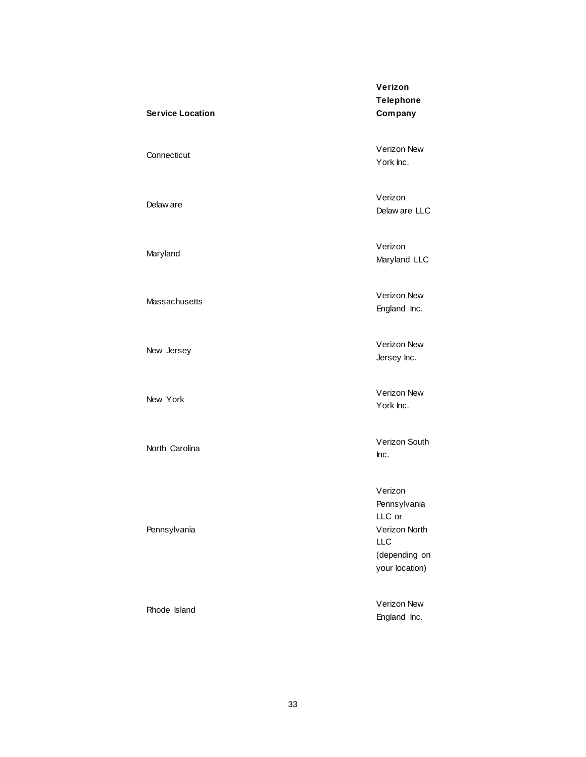# **Service Location**

Delaw are

Maryland

Massachusetts

New Jersey

New York

North Carolina

Pennsylvania

Rhode Island

**Verizon Telephone Company**

Connecticut Verizon New York Inc.

> Verizon Delaw are LLC

Verizon Maryland LLC

Verizon New England Inc.

Verizon New Jersey Inc.

Verizon New York Inc.

Verizon South Inc.

Verizon Pennsylvania LLC or Verizon North LLC (depending on your location)

Verizon New England Inc.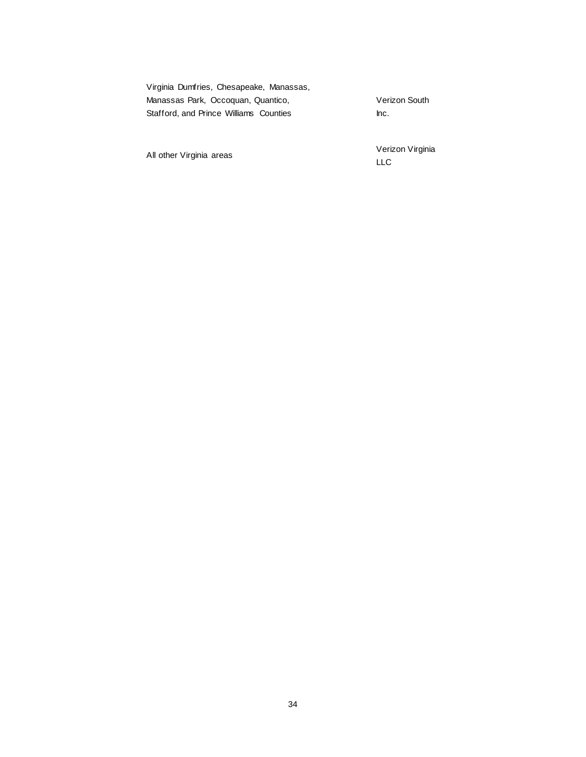| Virginia Dumfries, Chesapeake, Manassas, |               |
|------------------------------------------|---------------|
| Manassas Park, Occoquan, Quantico,       | Verizon South |
| Stafford, and Prince Williams Counties   | Inc.          |

All other Virginia areas

Verizon Virginia LLC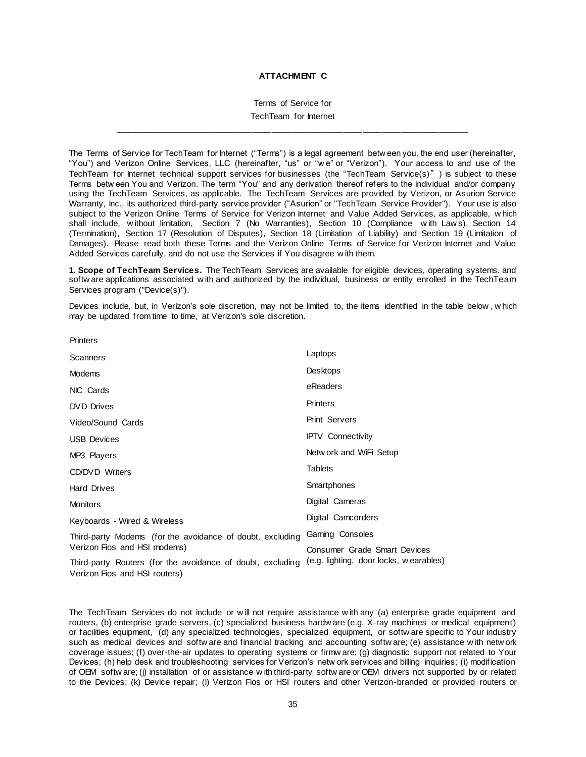### **ATTACHMENT C**

Terms of Service for

TechTeam for Internet \_\_\_\_\_\_\_\_\_\_\_\_\_\_\_\_\_\_\_\_\_\_\_\_\_\_\_\_\_\_\_\_\_\_\_\_\_\_\_\_\_\_\_\_\_\_\_\_\_\_\_\_\_\_\_\_\_\_\_\_\_\_\_\_\_\_\_\_\_\_\_\_\_\_

The Terms of Service for TechTeam for Internet ("Terms") is a legal agreement betw een you, the end user (hereinafter, "You") and Verizon Online Services, LLC (hereinafter, "us" or "w e" or "Verizon"). Your access to and use of the TechTeam for Internet technical support services for businesses (the "TechTeam Service(s)") is subject to these Terms betw een You and Verizon. The term "You" and any derivation thereof refers to the individual and/or company using the TechTeam Services, as applicable. The TechTeam Services are provided by Verizon, or Asurion Service Warranty, Inc., its authorized third-party service provider ("Asurion" or "TechTeam Service Provider"). Your use is also subject to the Verizon Online Terms of Service for Verizon Internet and Value Added Services, as applicable, w hich shall include, w ithout limitation, Section 7 (No Warranties), Section 10 (Compliance w ith Law s), Section 14 (Termination), Section 17 (Resolution of Disputes), Section 18 (Limitation of Liability) and Section 19 (Limitation of Damages). Please read both these Terms and the Verizon Online Terms of Service for Verizon Internet and Value Added Services carefully, and do not use the Services if You disagree w ith them.

**1. Scope of TechTeam Services.** The TechTeam Services are available for eligible devices, operating systems, and softw are applications associated w ith and authorized by the individual, business or entity enrolled in the TechTeam Services program ("Device(s)").

Devices include, but, in Verizon's sole discretion, may not be limited to, the items identified in the table below , w hich may be updated from time to time, at Verizon's sole discretion.

| Scanners                                                                                    | Laptops                                |
|---------------------------------------------------------------------------------------------|----------------------------------------|
| Modems                                                                                      | Desktops                               |
| NIC Cards                                                                                   | eReaders                               |
| <b>DVD</b> Drives                                                                           | Printers                               |
| Video/Sound Cards                                                                           | <b>Print Servers</b>                   |
| <b>USB Devices</b>                                                                          | <b>IPTV</b> Connectivity               |
| MP3 Players                                                                                 | Netw ork and WiFi Setup                |
| CD/DVD Writers                                                                              | <b>Tablets</b>                         |
| <b>Hard Drives</b>                                                                          | Smartphones                            |
| <b>Monitors</b>                                                                             | Digital Cameras                        |
| Keyboards - Wired & Wireless                                                                | Digital Camcorders                     |
| Third-party Modems (for the avoidance of doubt, excluding                                   | Gaming Consoles                        |
| Verizon Fios and HSI modems)                                                                | Consumer Grade Smart Devices           |
| Third-party Routers (for the avoidance of doubt, excluding<br>Verizon Fios and HSI routers) | (e.g. lighting, door locks, wearables) |

**Printers** 

The TechTeam Services do not include or w ill not require assistance w ith any (a) enterprise grade equipment and routers, (b) enterprise grade servers, (c) specialized business hardw are (e.g. X-ray machines or medical equipment) or facilities equipment, (d) any specialized technologies, specialized equipment, or softw are specific to Your industry such as medical devices and softw are and financial tracking and accounting softw are; (e) assistance w ith netw ork coverage issues; (f) over-the-air updates to operating systems or firmw are; (g) diagnostic support not related to Your Devices; (h) help desk and troubleshooting services for Verizon's netw ork services and billing inquiries; (i) modification of OEM softw are; (j) installation of or assistance w ith third-party softw are or OEM drivers not supported by or related to the Devices; (k) Device repair; (l) Verizon Fios or HSI routers and other Verizon-branded or provided routers or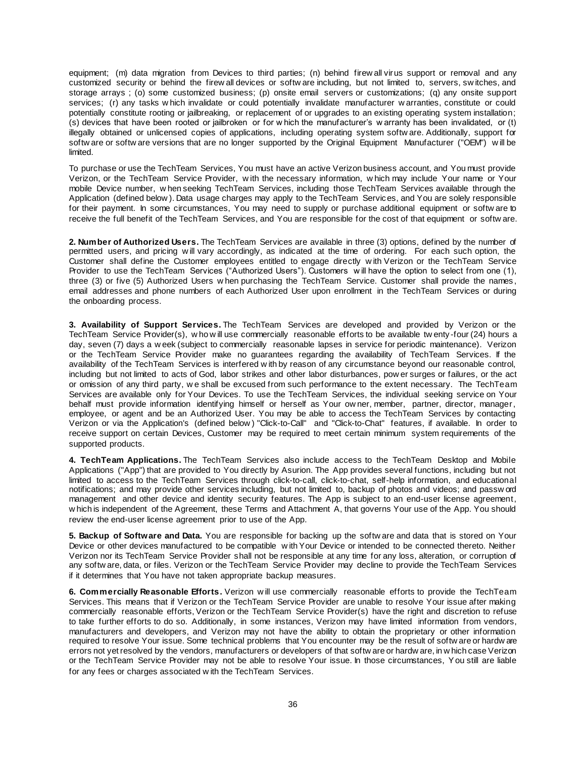equipment; (m) data migration from Devices to third parties; (n) behind firew all virus support or removal and any customized security or behind the firew all devices or softw are including, but not limited to, servers, sw itches, and storage arrays ; (o) some customized business; (p) onsite email servers or customizations; (q) any onsite support services; (r) any tasks w hich invalidate or could potentially invalidate manufacturer w arranties, constitute or could potentially constitute rooting or jailbreaking, or replacement of or upgrades to an existing operating system installation; (s) devices that have been rooted or jailbroken or for w hich the manufacturer's w arranty has been invalidated, or (t) illegally obtained or unlicensed copies of applications, including operating system softw are. Additionally, support for softw are or softw are versions that are no longer supported by the Original Equipment Manufacturer ("OEM") w ill be limited.

To purchase or use the TechTeam Services, You must have an active Verizon business account, and You must provide Verizon, or the TechTeam Service Provider, w ith the necessary information, w hich may include Your name or Your mobile Device number, w hen seeking TechTeam Services, including those TechTeam Services available through the Application (defined below ). Data usage charges may apply to the TechTeam Services, and You are solely responsible for their payment. In some circumstances, You may need to supply or purchase additional equipment or softw are to receive the full benefit of the TechTeam Services, and You are responsible for the cost of that equipment or softw are.

**2. Number of Authorized Users.** The TechTeam Services are available in three (3) options, defined by the number of permitted users, and pricing w ill vary accordingly, as indicated at the time of ordering. For each such option, the Customer shall define the Customer employees entitled to engage directly w ith Verizon or the TechTeam Service Provider to use the TechTeam Services ("Authorized Users"). Customers w ill have the option to select from one (1), three (3) or five (5) Authorized Users w hen purchasing the TechTeam Service. Customer shall provide the names, email addresses and phone numbers of each Authorized User upon enrollment in the TechTeam Services or during the onboarding process.

**3. Availability of Support Services.** The TechTeam Services are developed and provided by Verizon or the TechTeam Service Provider(s), w ho w ill use commercially reasonable efforts to be available tw enty -four (24) hours a day, seven (7) days a w eek (subject to commercially reasonable lapses in service for periodic maintenance). Verizon or the TechTeam Service Provider make no guarantees regarding the availability of TechTeam Services. If the availability of the TechTeam Services is interfered w ith by reason of any circumstance beyond our reasonable control, including but not limited to acts of God, labor strikes and other labor disturbances, pow er surges or failures, or the act or omission of any third party, w e shall be excused from such performance to the extent necessary. The TechTeam Services are available only for Your Devices. To use the TechTeam Services, the individual seeking service on Your behalf must provide information identifying himself or herself as Your ow ner, member, partner, director, manager, employee, or agent and be an Authorized User. You may be able to access the TechTeam Services by contacting Verizon or via the Application's (defined below ) "Click-to-Call" and "Click-to-Chat" features, if available. In order to receive support on certain Devices, Customer may be required to meet certain minimum system requirements of the supported products.

**4. TechTeam Applications.** The TechTeam Services also include access to the TechTeam Desktop and Mobile Applications ("App") that are provided to You directly by Asurion. The App provides several functions, including but not limited to access to the TechTeam Services through click-to-call, click-to-chat, self-help information, and educational notifications; and may provide other services including, but not limited to, backup of photos and videos; and passw ord management and other device and identity security features. The App is subject to an end-user license agreement, w hich is independent of the Agreement, these Terms and Attachment A, that governs Your use of the App. You should review the end-user license agreement prior to use of the App.

**5. Backup of Software and Data.** You are responsible for backing up the softw are and data that is stored on Your Device or other devices manufactured to be compatible w ith Your Device or intended to be connected thereto. Neither Verizon nor its TechTeam Service Provider shall not be responsible at any time for any loss, alteration, or corruption of any softw are, data, or files. Verizon or the TechTeam Service Provider may decline to provide the TechTeam Services if it determines that You have not taken appropriate backup measures.

**6. Commercially Reasonable Efforts.** Verizon w ill use commercially reasonable efforts to provide the TechTeam Services. This means that if Verizon or the TechTeam Service Provider are unable to resolve Your issue after making commercially reasonable efforts, Verizon or the TechTeam Service Provider(s) have the right and discretion to refuse to take further efforts to do so. Additionally, in some instances, Verizon may have limited information from vendors, manufacturers and developers, and Verizon may not have the ability to obtain the proprietary or other information required to resolve Your issue. Some technical problems that You encounter may be the result of softw are or hardw are errors not yet resolved by the vendors, manufacturers or developers of that softw are or hardw are, in w hich case Verizon or the TechTeam Service Provider may not be able to resolve Your issue. In those circumstances, You still are liable for any fees or charges associated w ith the TechTeam Services.